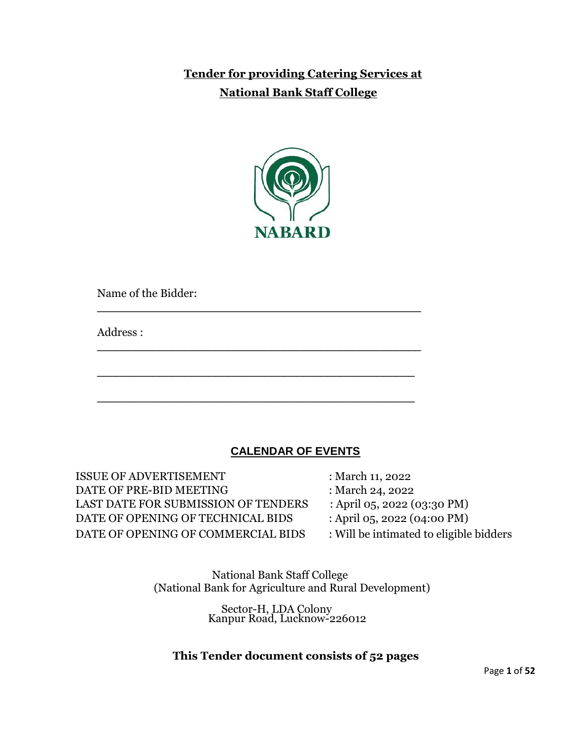## **Tender for providing Catering Services at National Bank Staff College**



\_\_\_\_\_\_\_\_\_\_\_\_\_\_\_\_\_\_\_\_\_\_\_\_\_\_\_\_\_\_\_\_\_\_\_\_\_\_\_\_\_\_\_\_\_\_\_\_\_\_\_\_

\_\_\_\_\_\_\_\_\_\_\_\_\_\_\_\_\_\_\_\_\_\_\_\_\_\_\_\_\_\_\_\_\_\_\_\_\_\_\_\_\_\_\_\_\_\_\_\_\_\_\_\_

\_\_\_\_\_\_\_\_\_\_\_\_\_\_\_\_\_\_\_\_\_\_\_\_\_\_\_\_\_\_\_\_\_\_\_\_\_\_\_\_\_\_\_\_\_\_\_\_\_\_\_

\_\_\_\_\_\_\_\_\_\_\_\_\_\_\_\_\_\_\_\_\_\_\_\_\_\_\_\_\_\_\_\_\_\_\_\_\_\_\_\_\_\_\_\_\_\_\_\_\_\_\_

Name of the Bidder:

Address :

### **CALENDAR OF EVENTS**

ISSUE OF ADVERTISEMENT : March 11, 2022 DATE OF PRE-BID MEETING : March 24, 2022 LAST DATE FOR SUBMISSION OF TENDERS : April 05, 2022 (03:30 PM) DATE OF OPENING OF TECHNICAL BIDS : April 05, 2022 (04:00 PM) DATE OF OPENING OF COMMERCIAL BIDS : Will be intimated to eligible bidders

 National Bank Staff College (National Bank for Agriculture and Rural Development)

Sector-H, LDA Colony Kanpur Road, Lucknow-226012

### **This Tender document consists of 52 pages**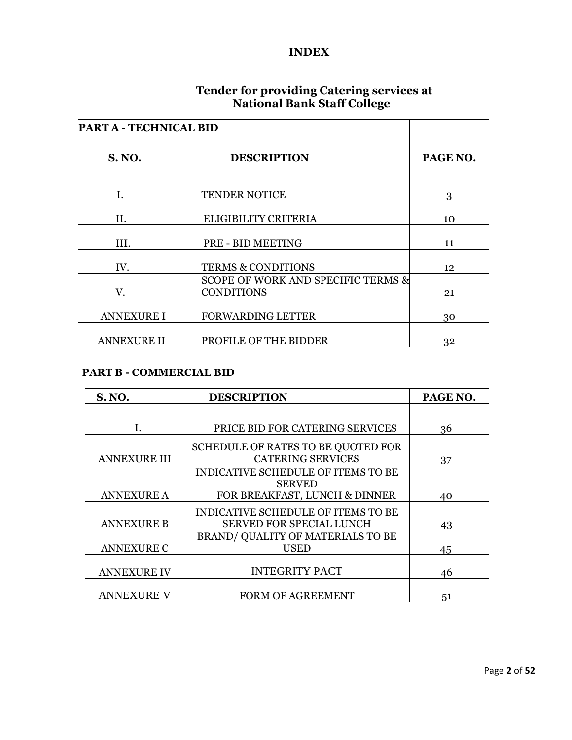#### **INDEX**

#### **Tender for providing Catering services at National Bank Staff College**

| <b>PART A - TECHNICAL BID</b> |                                    |          |
|-------------------------------|------------------------------------|----------|
|                               |                                    |          |
| <b>S. NO.</b>                 | <b>DESCRIPTION</b>                 | PAGE NO. |
|                               |                                    |          |
| Ι.                            | <b>TENDER NOTICE</b>               | 3        |
|                               |                                    |          |
| Н.                            | ELIGIBILITY CRITERIA               | 10       |
|                               |                                    |          |
| III.                          | PRE - BID MEETING                  | 11       |
|                               |                                    |          |
| IV.                           | <b>TERMS &amp; CONDITIONS</b>      | 12       |
|                               | SCOPE OF WORK AND SPECIFIC TERMS & |          |
| V.                            | <b>CONDITIONS</b>                  | 21       |
|                               |                                    |          |
| <b>ANNEXURE I</b>             | <b>FORWARDING LETTER</b>           | 30       |
|                               |                                    |          |
| <b>ANNEXURE II</b>            | PROFILE OF THE BIDDER              | 32       |

#### **PART B - COMMERCIAL BID**

| <b>S. NO.</b><br><b>DESCRIPTION</b> |                                                                       | PAGE NO. |
|-------------------------------------|-----------------------------------------------------------------------|----------|
|                                     |                                                                       |          |
|                                     | PRICE BID FOR CATERING SERVICES                                       | 36       |
| <b>ANNEXURE III</b>                 | SCHEDULE OF RATES TO BE QUOTED FOR<br><b>CATERING SERVICES</b>        | 37       |
|                                     | INDICATIVE SCHEDULE OF ITEMS TO BE                                    |          |
| <b>ANNEXURE A</b>                   | <b>SERVED</b><br>FOR BREAKFAST, LUNCH & DINNER                        | 40       |
| <b>ANNEXURE B</b>                   | INDICATIVE SCHEDULE OF ITEMS TO BE<br><b>SERVED FOR SPECIAL LUNCH</b> | 43       |
| <b>ANNEXURE C</b>                   | BRAND/ QUALITY OF MATERIALS TO BE<br><b>USED</b>                      | 45       |
| <b>ANNEXURE IV</b>                  | <b>INTEGRITY PACT</b>                                                 | 46       |
| <b>ANNEXURE V</b>                   | FORM OF AGREEMENT                                                     | 51       |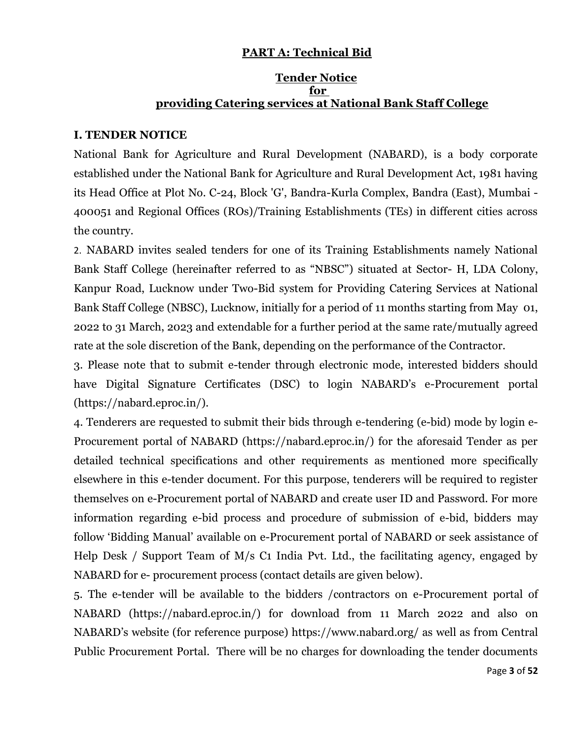#### **PART A: Technical Bid**

#### **Tender Notice for providing Catering services at National Bank Staff College**

#### **I. TENDER NOTICE**

National Bank for Agriculture and Rural Development (NABARD), is a body corporate established under the National Bank for Agriculture and Rural Development Act, 1981 having its Head Office at Plot No. C-24, Block 'G', Bandra-Kurla Complex, Bandra (East), Mumbai - 400051 and Regional Offices (ROs)/Training Establishments (TEs) in different cities across the country.

2. NABARD invites sealed tenders for one of its Training Establishments namely National Bank Staff College (hereinafter referred to as "NBSC") situated at Sector- H, LDA Colony, Kanpur Road, Lucknow under Two-Bid system for Providing Catering Services at National Bank Staff College (NBSC), Lucknow, initially for a period of 11 months starting from May 01, 2022 to 31 March, 2023 and extendable for a further period at the same rate/mutually agreed rate at the sole discretion of the Bank, depending on the performance of the Contractor.

3. Please note that to submit e-tender through electronic mode, interested bidders should have Digital Signature Certificates (DSC) to login NABARD's e-Procurement portal [\(https://nabard.eproc.in/\)](https://nabard.eproc.in/).

4. Tenderers are requested to submit their bids through e-tendering (e-bid) mode by login e-Procurement portal of NABARD (https://nabard.eproc.in/) for the aforesaid Tender as per detailed technical specifications and other requirements as mentioned more specifically elsewhere in this e-tender document. For this purpose, tenderers will be required to register themselves on e-Procurement portal of NABARD and create user ID and Password. For more information regarding e-bid process and procedure of submission of e-bid, bidders may follow 'Bidding Manual' available on e-Procurement portal of NABARD or seek assistance of Help Desk / Support Team of M/s C1 India Pvt. Ltd., the facilitating agency, engaged by NABARD for e- procurement process (contact details are given below).

5. The e-tender will be available to the bidders /contractors on e-Procurement portal of NABARD (https://nabard.eproc.in/) for download from 11 March 2022 and also on NABARD's website (for reference purpose) https://www.nabard.org/ as well as from Central Public Procurement Portal. There will be no charges for downloading the tender documents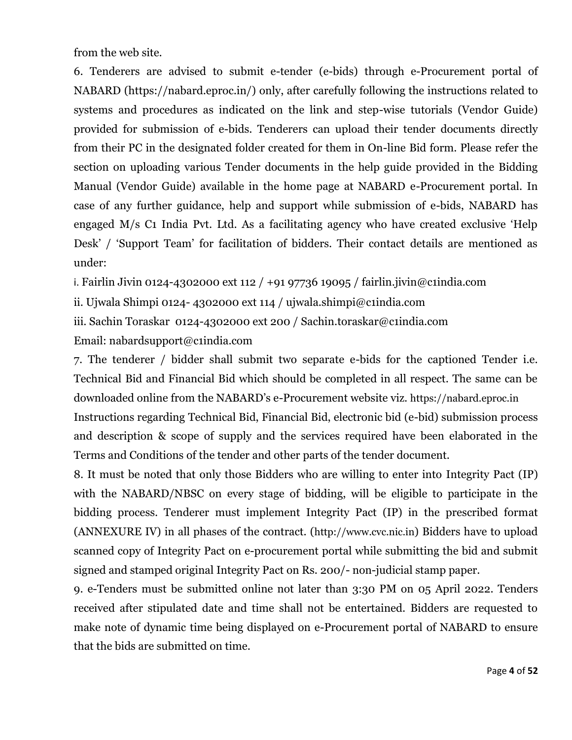from the web site.

6. Tenderers are advised to submit e-tender (e-bids) through e-Procurement portal of NABARD (https://nabard.eproc.in/) only, after carefully following the instructions related to systems and procedures as indicated on the link and step-wise tutorials (Vendor Guide) provided for submission of e-bids. Tenderers can upload their tender documents directly from their PC in the designated folder created for them in On-line Bid form. Please refer the section on uploading various Tender documents in the help guide provided in the Bidding Manual (Vendor Guide) available in the home page at NABARD e-Procurement portal. In case of any further guidance, help and support while submission of e-bids, NABARD has engaged M/s C1 India Pvt. Ltd. As a facilitating agency who have created exclusive 'Help Desk' / 'Support Team' for facilitation of bidders. Their contact details are mentioned as under:

i. Fairlin Jivin 0124-4302000 ext 112 / +91 97736 19095 / fairlin.jivin@c1india.com

ii. Ujwala Shimpi 0124- 4302000 ext 114 / ujwala.shimpi@c1india.com

iii. Sachin Toraskar 0124-4302000 ext 200 / Sachin.toraskar@c1india.com Email: nabardsupport@c1india.com

7. The tenderer / bidder shall submit two separate e-bids for the captioned Tender i.e. Technical Bid and Financial Bid which should be completed in all respect. The same can be downloaded online from the NABARD's e-Procurement website viz. [https://nabard.eproc.in](https://nabard.eproc.in/) Instructions regarding Technical Bid, Financial Bid, electronic bid (e-bid) submission process and description & scope of supply and the services required have been elaborated in the Terms and Conditions of the tender and other parts of the tender document.

8. It must be noted that only those Bidders who are willing to enter into Integrity Pact (IP) with the NABARD/NBSC on every stage of bidding, will be eligible to participate in the bidding process. Tenderer must implement Integrity Pact (IP) in the prescribed format (ANNEXURE IV) in all phases of the contract. ([http://www.cvc.nic.in](http://www.cvc.nic.in/)) Bidders have to upload scanned copy of Integrity Pact on e-procurement portal while submitting the bid and submit signed and stamped original Integrity Pact on Rs. 200/- non-judicial stamp paper.

9. e-Tenders must be submitted online not later than 3:30 PM on 05 April 2022. Tenders received after stipulated date and time shall not be entertained. Bidders are requested to make note of dynamic time being displayed on e-Procurement portal of NABARD to ensure that the bids are submitted on time.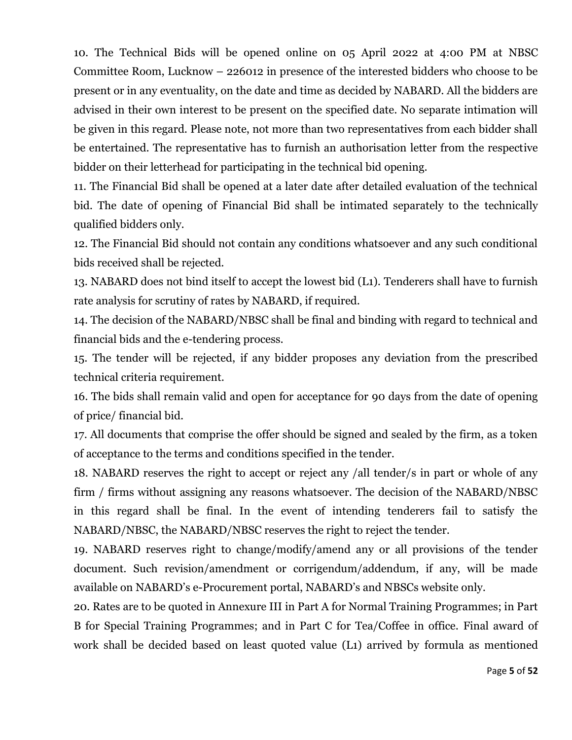10. The Technical Bids will be opened online on 05 April 2022 at 4:00 PM at NBSC Committee Room, Lucknow – 226012 in presence of the interested bidders who choose to be present or in any eventuality, on the date and time as decided by NABARD. All the bidders are advised in their own interest to be present on the specified date. No separate intimation will be given in this regard. Please note, not more than two representatives from each bidder shall be entertained. The representative has to furnish an authorisation letter from the respective bidder on their letterhead for participating in the technical bid opening.

11. The Financial Bid shall be opened at a later date after detailed evaluation of the technical bid. The date of opening of Financial Bid shall be intimated separately to the technically qualified bidders only.

12. The Financial Bid should not contain any conditions whatsoever and any such conditional bids received shall be rejected.

13. NABARD does not bind itself to accept the lowest bid (L1). Tenderers shall have to furnish rate analysis for scrutiny of rates by NABARD, if required.

14. The decision of the NABARD/NBSC shall be final and binding with regard to technical and financial bids and the e-tendering process.

15. The tender will be rejected, if any bidder proposes any deviation from the prescribed technical criteria requirement.

16. The bids shall remain valid and open for acceptance for 90 days from the date of opening of price/ financial bid.

17. All documents that comprise the offer should be signed and sealed by the firm, as a token of acceptance to the terms and conditions specified in the tender.

18. NABARD reserves the right to accept or reject any /all tender/s in part or whole of any firm / firms without assigning any reasons whatsoever. The decision of the NABARD/NBSC in this regard shall be final. In the event of intending tenderers fail to satisfy the NABARD/NBSC, the NABARD/NBSC reserves the right to reject the tender.

19. NABARD reserves right to change/modify/amend any or all provisions of the tender document. Such revision/amendment or corrigendum/addendum, if any, will be made available on NABARD's e-Procurement portal, NABARD's and NBSCs website only.

20. Rates are to be quoted in Annexure III in Part A for Normal Training Programmes; in Part B for Special Training Programmes; and in Part C for Tea/Coffee in office. Final award of work shall be decided based on least quoted value (L1) arrived by formula as mentioned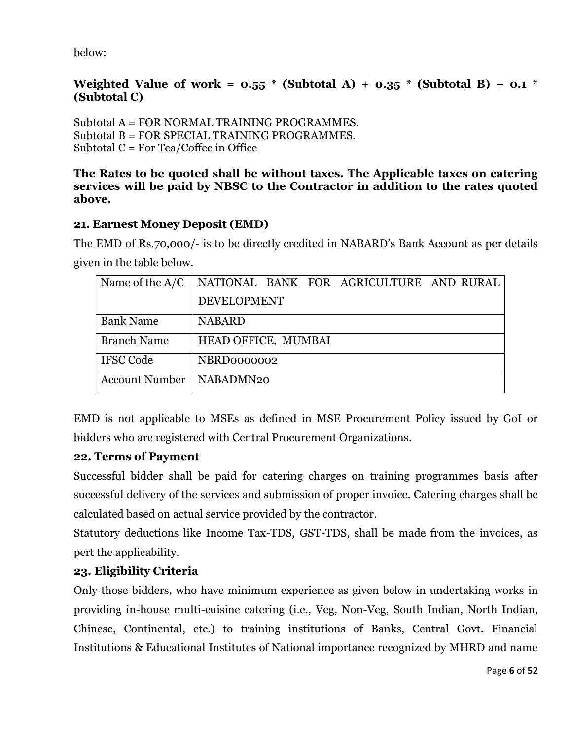below:

### **Weighted Value of work =**  $0.55$  **\* (Subtotal A) +**  $0.35$  **\* (Subtotal B) +**  $0.1$  **\* (Subtotal C)**

Subtotal A = FOR NORMAL TRAINING PROGRAMMES. Subtotal B = FOR SPECIAL TRAINING PROGRAMMES. Subtotal  $C = For Tea/Coffee$  in Office

#### **The Rates to be quoted shall be without taxes. The Applicable taxes on catering services will be paid by NBSC to the Contractor in addition to the rates quoted above.**

### **21. Earnest Money Deposit (EMD)**

The EMD of Rs.70,000/- is to be directly credited in NABARD's Bank Account as per details given in the table below.

| Name of the $A/C$     | NATIONAL BANK FOR AGRICULTURE AND RURAL |
|-----------------------|-----------------------------------------|
|                       | <b>DEVELOPMENT</b>                      |
| <b>Bank Name</b>      | <b>NABARD</b>                           |
| <b>Branch Name</b>    | HEAD OFFICE, MUMBAI                     |
| <b>IFSC Code</b>      | NBRD0000002                             |
| <b>Account Number</b> | NABADMN20                               |

EMD is not applicable to MSEs as defined in MSE Procurement Policy issued by GoI or bidders who are registered with Central Procurement Organizations.

### **22. Terms of Payment**

Successful bidder shall be paid for catering charges on training programmes basis after successful delivery of the services and submission of proper invoice. Catering charges shall be calculated based on actual service provided by the contractor.

Statutory deductions like Income Tax-TDS, GST-TDS, shall be made from the invoices, as pert the applicability.

### **23. Eligibility Criteria**

Only those bidders, who have minimum experience as given below in undertaking works in providing in-house multi-cuisine catering (i.e., Veg, Non-Veg, South Indian, North Indian, Chinese, Continental, etc.) to training institutions of Banks, Central Govt. Financial Institutions & Educational Institutes of National importance recognized by MHRD and name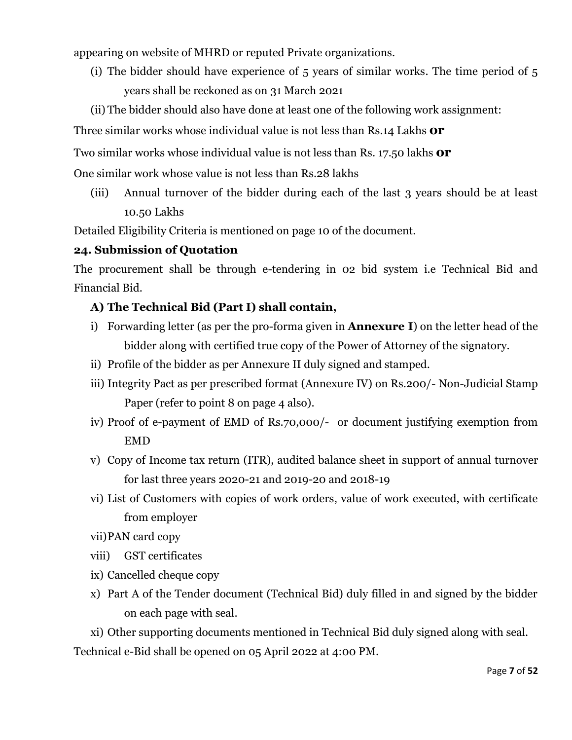appearing on website of MHRD or reputed Private organizations.

- (i) The bidder should have experience of 5 years of similar works. The time period of 5 years shall be reckoned as on 31 March 2021
- (ii) The bidder should also have done at least one of the following work assignment:

Three similar works whose individual value is not less than Rs.14 Lakhs **or**

Two similar works whose individual value is not less than Rs. 17.50 lakhs **or**

One similar work whose value is not less than Rs.28 lakhs

(iii) Annual turnover of the bidder during each of the last 3 years should be at least 10.50 Lakhs

Detailed Eligibility Criteria is mentioned on page 10 of the document.

### **24. Submission of Quotation**

The procurement shall be through e-tendering in 02 bid system i.e Technical Bid and Financial Bid.

### **A) The Technical Bid (Part I) shall contain,**

- i) Forwarding letter (as per the pro-forma given in **Annexure I**) on the letter head of the bidder along with certified true copy of the Power of Attorney of the signatory.
- ii) Profile of the bidder as per Annexure II duly signed and stamped.
- iii) Integrity Pact as per prescribed format (Annexure IV) on Rs.200/- Non-Judicial Stamp Paper (refer to point 8 on page 4 also).
- iv) Proof of e-payment of EMD of Rs.70,000/- or document justifying exemption from EMD
- v) Copy of Income tax return (ITR), audited balance sheet in support of annual turnover for last three years 2020-21 and 2019-20 and 2018-19
- vi) List of Customers with copies of work orders, value of work executed, with certificate from employer
- vii)PAN card copy
- viii) GST certificates
- ix) Cancelled cheque copy
- x) Part A of the Tender document (Technical Bid) duly filled in and signed by the bidder on each page with seal.

xi) Other supporting documents mentioned in Technical Bid duly signed along with seal. Technical e-Bid shall be opened on 05 April 2022 at 4:00 PM.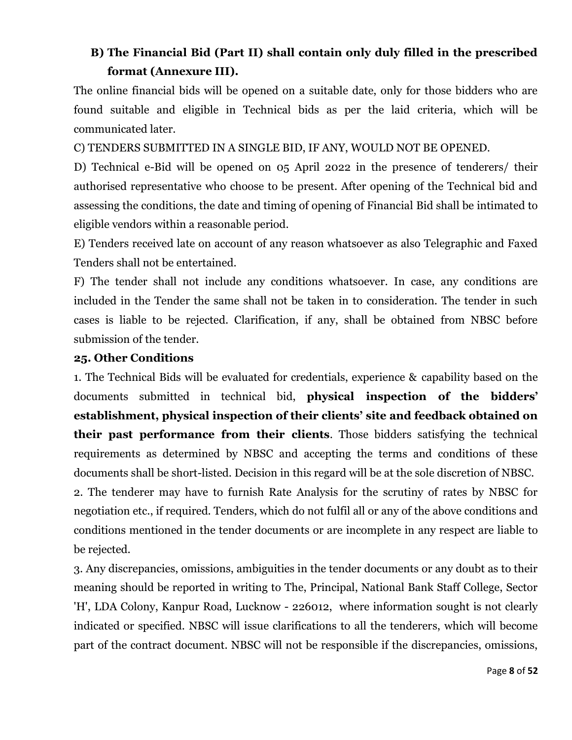# **B) The Financial Bid (Part II) shall contain only duly filled in the prescribed format (Annexure III).**

The online financial bids will be opened on a suitable date, only for those bidders who are found suitable and eligible in Technical bids as per the laid criteria, which will be communicated later.

C) TENDERS SUBMITTED IN A SINGLE BID, IF ANY, WOULD NOT BE OPENED.

D) Technical e-Bid will be opened on 05 April 2022 in the presence of tenderers/ their authorised representative who choose to be present. After opening of the Technical bid and assessing the conditions, the date and timing of opening of Financial Bid shall be intimated to eligible vendors within a reasonable period.

E) Tenders received late on account of any reason whatsoever as also Telegraphic and Faxed Tenders shall not be entertained.

F) The tender shall not include any conditions whatsoever. In case, any conditions are included in the Tender the same shall not be taken in to consideration. The tender in such cases is liable to be rejected. Clarification, if any, shall be obtained from NBSC before submission of the tender.

### **25. Other Conditions**

1. The Technical Bids will be evaluated for credentials, experience & capability based on the documents submitted in technical bid, **physical inspection of the bidders' establishment, physical inspection of their clients' site and feedback obtained on their past performance from their clients**. Those bidders satisfying the technical requirements as determined by NBSC and accepting the terms and conditions of these documents shall be short-listed. Decision in this regard will be at the sole discretion of NBSC.

2. The tenderer may have to furnish Rate Analysis for the scrutiny of rates by NBSC for negotiation etc., if required. Tenders, which do not fulfil all or any of the above conditions and conditions mentioned in the tender documents or are incomplete in any respect are liable to be rejected.

3. Any discrepancies, omissions, ambiguities in the tender documents or any doubt as to their meaning should be reported in writing to The, Principal, National Bank Staff College, Sector 'H', LDA Colony, Kanpur Road, Lucknow - 226012, where information sought is not clearly indicated or specified. NBSC will issue clarifications to all the tenderers, which will become part of the contract document. NBSC will not be responsible if the discrepancies, omissions,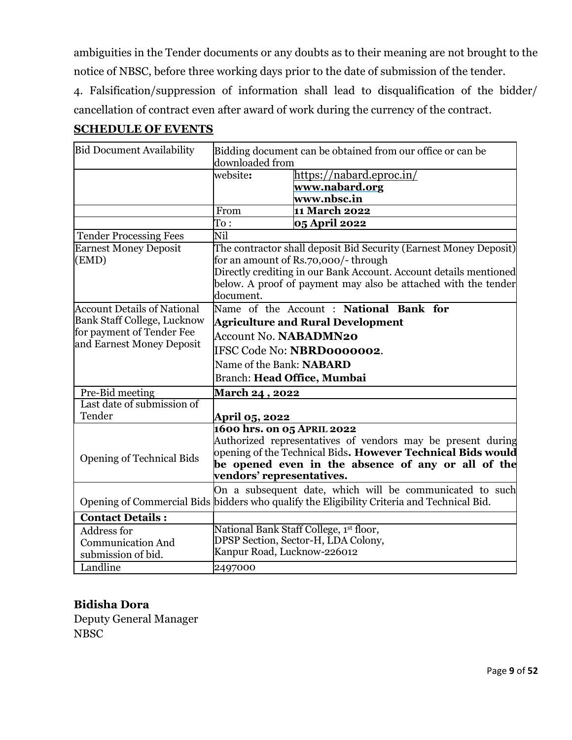ambiguities in the Tender documents or any doubts as to their meaning are not brought to the notice of NBSC, before three working days prior to the date of submission of the tender.

4. Falsification/suppression of information shall lead to disqualification of the bidder/ cancellation of contract even after award of work during the currency of the contract.

### **SCHEDULE OF EVENTS**

| Bidding document can be obtained from our office or can be<br>downloaded from              |  |  |  |
|--------------------------------------------------------------------------------------------|--|--|--|
|                                                                                            |  |  |  |
|                                                                                            |  |  |  |
|                                                                                            |  |  |  |
|                                                                                            |  |  |  |
|                                                                                            |  |  |  |
|                                                                                            |  |  |  |
| The contractor shall deposit Bid Security (Earnest Money Deposit)                          |  |  |  |
|                                                                                            |  |  |  |
| Directly crediting in our Bank Account. Account details mentioned                          |  |  |  |
| below. A proof of payment may also be attached with the tender                             |  |  |  |
|                                                                                            |  |  |  |
| Name of the Account : National Bank for                                                    |  |  |  |
|                                                                                            |  |  |  |
| <b>Account No. NABADMN20</b>                                                               |  |  |  |
| IFSC Code No: NBRD0000002.                                                                 |  |  |  |
| Name of the Bank: NABARD                                                                   |  |  |  |
|                                                                                            |  |  |  |
|                                                                                            |  |  |  |
|                                                                                            |  |  |  |
|                                                                                            |  |  |  |
|                                                                                            |  |  |  |
| 1600 hrs. on 05 APRIL 2022<br>Authorized representatives of vendors may be present during  |  |  |  |
| opening of the Technical Bids. However Technical Bids would                                |  |  |  |
| be opened even in the absence of any or all of the                                         |  |  |  |
| vendors' representatives.                                                                  |  |  |  |
| On a subsequent date, which will be communicated to such                                   |  |  |  |
| Opening of Commercial Bids bidders who qualify the Eligibility Criteria and Technical Bid. |  |  |  |
|                                                                                            |  |  |  |
|                                                                                            |  |  |  |
| National Bank Staff College, 1st floor,<br>DPSP Section, Sector-H, LDA Colony,             |  |  |  |
| Kanpur Road, Lucknow-226012                                                                |  |  |  |
| 2497000                                                                                    |  |  |  |
|                                                                                            |  |  |  |

# **Bidisha Dora**

Deputy General Manager NBSC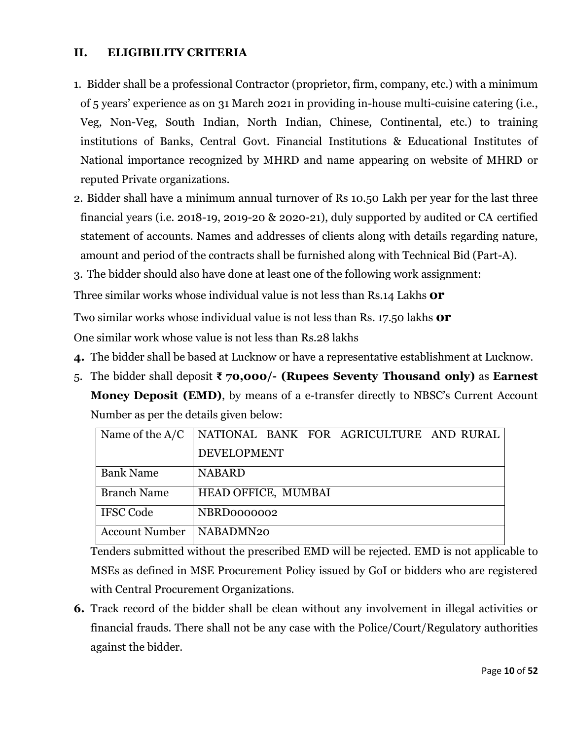### **II. ELIGIBILITY CRITERIA**

- 1. Bidder shall be a professional Contractor (proprietor, firm, company, etc.) with a minimum of 5 years' experience as on 31 March 2021 in providing in-house multi-cuisine catering (i.e., Veg, Non-Veg, South Indian, North Indian, Chinese, Continental, etc.) to training institutions of Banks, Central Govt. Financial Institutions & Educational Institutes of National importance recognized by MHRD and name appearing on website of MHRD or reputed Private organizations.
- 2. Bidder shall have a minimum annual turnover of Rs 10.50 Lakh per year for the last three financial years (i.e. 2018-19, 2019-20 & 2020-21), duly supported by audited or CA certified statement of accounts. Names and addresses of clients along with details regarding nature, amount and period of the contracts shall be furnished along with Technical Bid (Part-A).
- 3. The bidder should also have done at least one of the following work assignment:

Three similar works whose individual value is not less than Rs.14 Lakhs **or**

Two similar works whose individual value is not less than Rs. 17.50 lakhs **or**

One similar work whose value is not less than Rs.28 lakhs

- **4.** The bidder shall be based at Lucknow or have a representative establishment at Lucknow.
- 5. The bidder shall deposit **₹ 70,000/- (Rupees Seventy Thousand only)** as **Earnest Money Deposit (EMD)**, by means of a e-transfer directly to NBSC's Current Account Number as per the details given below:

| Name of the $A/C$     | NATIONAL BANK FOR AGRICULTURE AND RURAL |
|-----------------------|-----------------------------------------|
|                       | <b>DEVELOPMENT</b>                      |
| <b>Bank Name</b>      | <b>NABARD</b>                           |
| <b>Branch Name</b>    | HEAD OFFICE, MUMBAI                     |
| <b>IFSC Code</b>      | NBRD0000002                             |
| <b>Account Number</b> | NABADMN20                               |

Tenders submitted without the prescribed EMD will be rejected. EMD is not applicable to MSEs as defined in MSE Procurement Policy issued by GoI or bidders who are registered with Central Procurement Organizations.

**6.** Track record of the bidder shall be clean without any involvement in illegal activities or financial frauds. There shall not be any case with the Police/Court/Regulatory authorities against the bidder.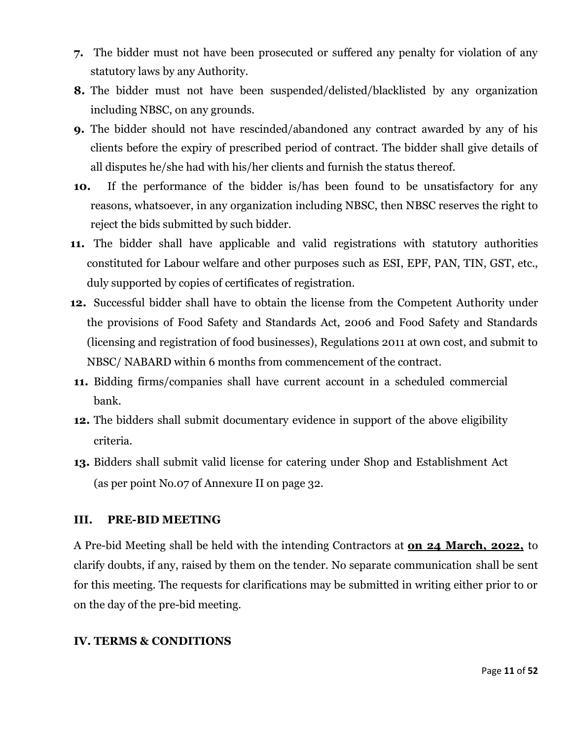- **7.** The bidder must not have been prosecuted or suffered any penalty for violation of any statutory laws by any Authority.
- **8.** The bidder must not have been suspended/delisted/blacklisted by any organization including NBSC, on any grounds.
- **9.** The bidder should not have rescinded/abandoned any contract awarded by any of his clients before the expiry of prescribed period of contract. The bidder shall give details of all disputes he/she had with his/her clients and furnish the status thereof.
- **10.** If the performance of the bidder is/has been found to be unsatisfactory for any reasons, whatsoever, in any organization including NBSC, then NBSC reserves the right to reject the bids submitted by such bidder.
- **11.** The bidder shall have applicable and valid registrations with statutory authorities constituted for Labour welfare and other purposes such as ESI, EPF, PAN, TIN, GST, etc., duly supported by copies of certificates of registration.
- **12.** Successful bidder shall have to obtain the license from the Competent Authority under the provisions of Food Safety and Standards Act, 2006 and Food Safety and Standards (licensing and registration of food businesses), Regulations 2011 at own cost, and submit to NBSC/ NABARD within 6 months from commencement of the contract.
- **11.** Bidding firms/companies shall have current account in a scheduled commercial bank.
- **12.** The bidders shall submit documentary evidence in support of the above eligibility criteria.
- **13.** Bidders shall submit valid license for catering under Shop and Establishment Act (as per point No.07 of Annexure II on page 32.

### **III. PRE-BID MEETING**

A Pre-bid Meeting shall be held with the intending Contractors at **on 24 March, 2022,** to clarify doubts, if any, raised by them on the tender. No separate communication shall be sent for this meeting. The requests for clarifications may be submitted in writing either prior to or on the day of the pre-bid meeting.

#### **IV. TERMS & CONDITIONS**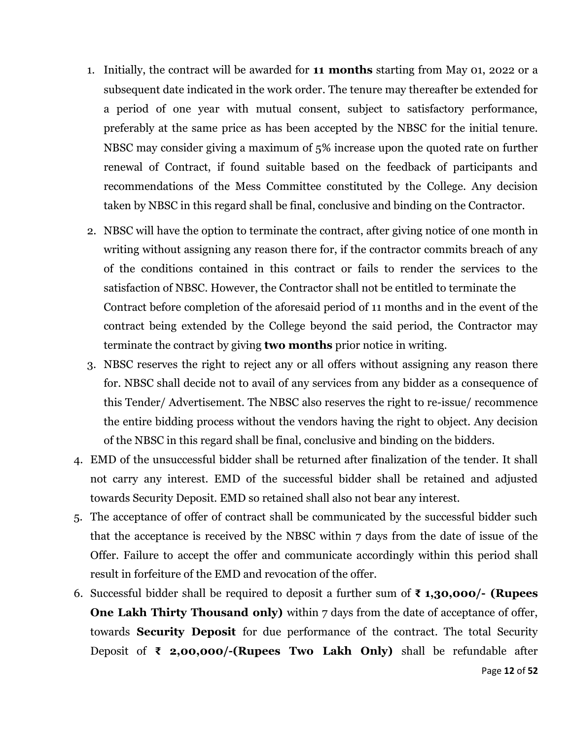- 1. Initially, the contract will be awarded for **11 months** starting from May 01, 2022 or a subsequent date indicated in the work order. The tenure may thereafter be extended for a period of one year with mutual consent, subject to satisfactory performance, preferably at the same price as has been accepted by the NBSC for the initial tenure. NBSC may consider giving a maximum of 5% increase upon the quoted rate on further renewal of Contract, if found suitable based on the feedback of participants and recommendations of the Mess Committee constituted by the College. Any decision taken by NBSC in this regard shall be final, conclusive and binding on the Contractor.
- 2. NBSC will have the option to terminate the contract, after giving notice of one month in writing without assigning any reason there for, if the contractor commits breach of any of the conditions contained in this contract or fails to render the services to the satisfaction of NBSC. However, the Contractor shall not be entitled to terminate the Contract before completion of the aforesaid period of 11 months and in the event of the contract being extended by the College beyond the said period, the Contractor may terminate the contract by giving **two months** prior notice in writing.
- 3. NBSC reserves the right to reject any or all offers without assigning any reason there for. NBSC shall decide not to avail of any services from any bidder as a consequence of this Tender/ Advertisement. The NBSC also reserves the right to re-issue/ recommence the entire bidding process without the vendors having the right to object. Any decision of the NBSC in this regard shall be final, conclusive and binding on the bidders.
- 4. EMD of the unsuccessful bidder shall be returned after finalization of the tender. It shall not carry any interest. EMD of the successful bidder shall be retained and adjusted towards Security Deposit. EMD so retained shall also not bear any interest.
- 5. The acceptance of offer of contract shall be communicated by the successful bidder such that the acceptance is received by the NBSC within 7 days from the date of issue of the Offer. Failure to accept the offer and communicate accordingly within this period shall result in forfeiture of the EMD and revocation of the offer.
- Page **12** of **52** 6. Successful bidder shall be required to deposit a further sum of **₹ 1,30,000/- (Rupees One Lakh Thirty Thousand only)** within 7 days from the date of acceptance of offer, towards **Security Deposit** for due performance of the contract. The total Security Deposit of **₹ 2,00,000/-(Rupees Two Lakh Only)** shall be refundable after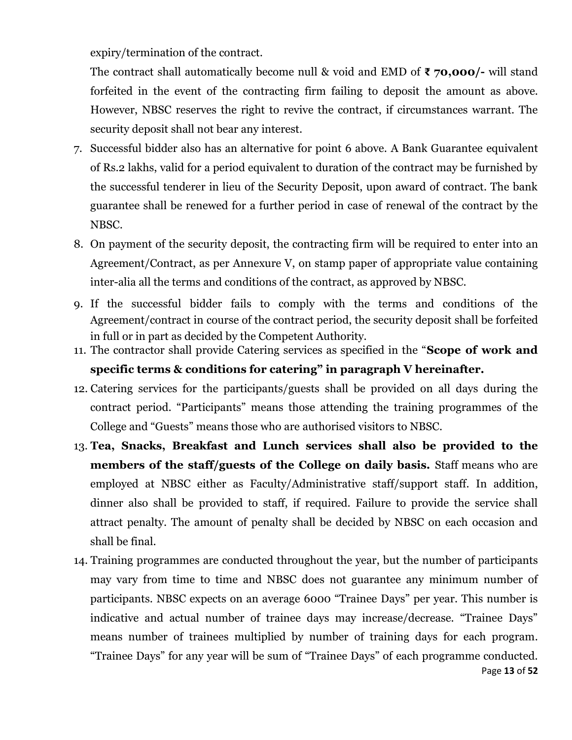expiry/termination of the contract.

The contract shall automatically become null & void and EMD of **₹ 70,000/-** will stand forfeited in the event of the contracting firm failing to deposit the amount as above. However, NBSC reserves the right to revive the contract, if circumstances warrant. The security deposit shall not bear any interest.

- 7. Successful bidder also has an alternative for point 6 above. A Bank Guarantee equivalent of Rs.2 lakhs, valid for a period equivalent to duration of the contract may be furnished by the successful tenderer in lieu of the Security Deposit, upon award of contract. The bank guarantee shall be renewed for a further period in case of renewal of the contract by the NBSC.
- 8. On payment of the security deposit, the contracting firm will be required to enter into an Agreement/Contract, as per Annexure V, on stamp paper of appropriate value containing inter-alia all the terms and conditions of the contract, as approved by NBSC.
- 9. If the successful bidder fails to comply with the terms and conditions of the Agreement/contract in course of the contract period, the security deposit shall be forfeited in full or in part as decided by the Competent Authority.
- 11. The contractor shall provide Catering services as specified in the "**Scope of work and**
	- **specific terms & conditions for catering" in paragraph V hereinafter.**
- 12. Catering services for the participants/guests shall be provided on all days during the contract period. "Participants" means those attending the training programmes of the College and "Guests" means those who are authorised visitors to NBSC.
- 13. **Tea, Snacks, Breakfast and Lunch services shall also be provided to the members of the staff/guests of the College on daily basis.** Staff means who are employed at NBSC either as Faculty/Administrative staff/support staff. In addition, dinner also shall be provided to staff, if required. Failure to provide the service shall attract penalty. The amount of penalty shall be decided by NBSC on each occasion and shall be final.
- Page **13** of **52** 14. Training programmes are conducted throughout the year, but the number of participants may vary from time to time and NBSC does not guarantee any minimum number of participants. NBSC expects on an average 6000 "Trainee Days" per year. This number is indicative and actual number of trainee days may increase/decrease. "Trainee Days" means number of trainees multiplied by number of training days for each program. "Trainee Days" for any year will be sum of "Trainee Days" of each programme conducted.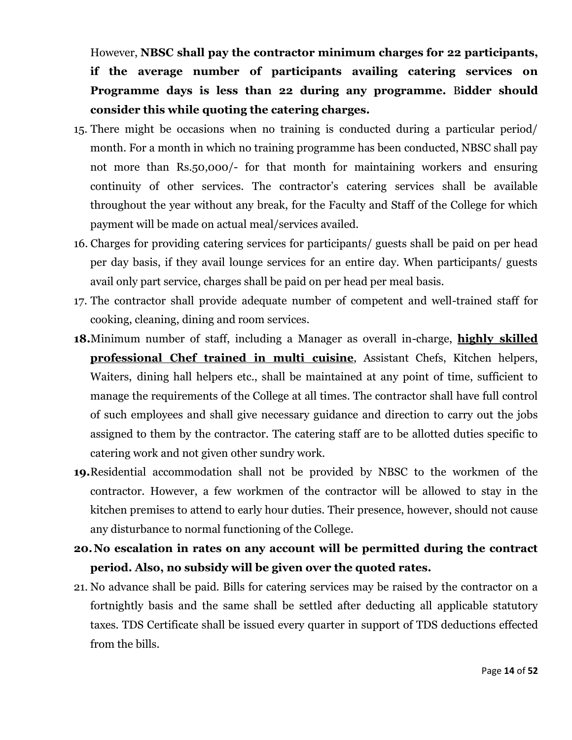However, **NBSC shall pay the contractor minimum charges for 22 participants, if the average number of participants availing catering services on Programme days is less than 22 during any programme.** B**idder should consider this while quoting the catering charges.**

- 15. There might be occasions when no training is conducted during a particular period/ month. For a month in which no training programme has been conducted, NBSC shall pay not more than Rs.50,000/- for that month for maintaining workers and ensuring continuity of other services. The contractor's catering services shall be available throughout the year without any break, for the Faculty and Staff of the College for which payment will be made on actual meal/services availed.
- 16. Charges for providing catering services for participants/ guests shall be paid on per head per day basis, if they avail lounge services for an entire day. When participants/ guests avail only part service, charges shall be paid on per head per meal basis.
- 17. The contractor shall provide adequate number of competent and well-trained staff for cooking, cleaning, dining and room services.
- **18.**Minimum number of staff, including a Manager as overall in-charge, **highly skilled professional Chef trained in multi cuisine**, Assistant Chefs, Kitchen helpers, Waiters, dining hall helpers etc., shall be maintained at any point of time, sufficient to manage the requirements of the College at all times. The contractor shall have full control of such employees and shall give necessary guidance and direction to carry out the jobs assigned to them by the contractor. The catering staff are to be allotted duties specific to catering work and not given other sundry work.
- **19.**Residential accommodation shall not be provided by NBSC to the workmen of the contractor. However, a few workmen of the contractor will be allowed to stay in the kitchen premises to attend to early hour duties. Their presence, however, should not cause any disturbance to normal functioning of the College.
- **20.No escalation in rates on any account will be permitted during the contract period. Also, no subsidy will be given over the quoted rates.**
- 21. No advance shall be paid. Bills for catering services may be raised by the contractor on a fortnightly basis and the same shall be settled after deducting all applicable statutory taxes. TDS Certificate shall be issued every quarter in support of TDS deductions effected from the bills.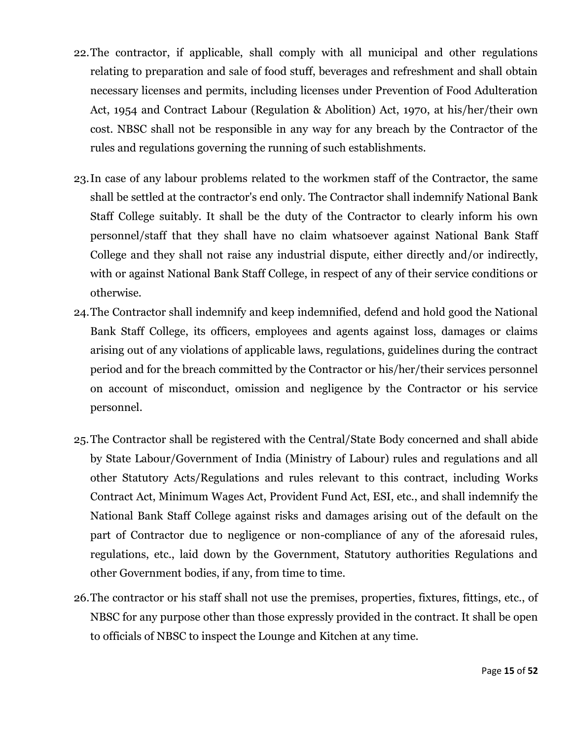- 22.The contractor, if applicable, shall comply with all municipal and other regulations relating to preparation and sale of food stuff, beverages and refreshment and shall obtain necessary licenses and permits, including licenses under Prevention of Food Adulteration Act, 1954 and Contract Labour (Regulation & Abolition) Act, 1970, at his/her/their own cost. NBSC shall not be responsible in any way for any breach by the Contractor of the rules and regulations governing the running of such establishments.
- 23.In case of any labour problems related to the workmen staff of the Contractor, the same shall be settled at the contractor's end only. The Contractor shall indemnify National Bank Staff College suitably. It shall be the duty of the Contractor to clearly inform his own personnel/staff that they shall have no claim whatsoever against National Bank Staff College and they shall not raise any industrial dispute, either directly and/or indirectly, with or against National Bank Staff College, in respect of any of their service conditions or otherwise.
- 24.The Contractor shall indemnify and keep indemnified, defend and hold good the National Bank Staff College, its officers, employees and agents against loss, damages or claims arising out of any violations of applicable laws, regulations, guidelines during the contract period and for the breach committed by the Contractor or his/her/their services personnel on account of misconduct, omission and negligence by the Contractor or his service personnel.
- 25.The Contractor shall be registered with the Central/State Body concerned and shall abide by State Labour/Government of India (Ministry of Labour) rules and regulations and all other Statutory Acts/Regulations and rules relevant to this contract, including Works Contract Act, Minimum Wages Act, Provident Fund Act, ESI, etc., and shall indemnify the National Bank Staff College against risks and damages arising out of the default on the part of Contractor due to negligence or non-compliance of any of the aforesaid rules, regulations, etc., laid down by the Government, Statutory authorities Regulations and other Government bodies, if any, from time to time.
- 26.The contractor or his staff shall not use the premises, properties, fixtures, fittings, etc., of NBSC for any purpose other than those expressly provided in the contract. It shall be open to officials of NBSC to inspect the Lounge and Kitchen at any time.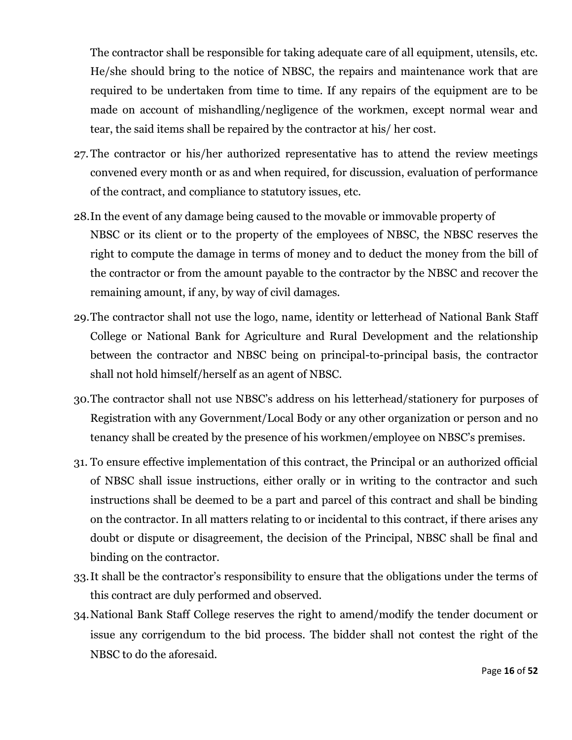The contractor shall be responsible for taking adequate care of all equipment, utensils, etc. He/she should bring to the notice of NBSC, the repairs and maintenance work that are required to be undertaken from time to time. If any repairs of the equipment are to be made on account of mishandling/negligence of the workmen, except normal wear and tear, the said items shall be repaired by the contractor at his/ her cost.

- 27.The contractor or his/her authorized representative has to attend the review meetings convened every month or as and when required, for discussion, evaluation of performance of the contract, and compliance to statutory issues, etc.
- 28.In the event of any damage being caused to the movable or immovable property of NBSC or its client or to the property of the employees of NBSC, the NBSC reserves the right to compute the damage in terms of money and to deduct the money from the bill of the contractor or from the amount payable to the contractor by the NBSC and recover the remaining amount, if any, by way of civil damages.
- 29.The contractor shall not use the logo, name, identity or letterhead of National Bank Staff College or National Bank for Agriculture and Rural Development and the relationship between the contractor and NBSC being on principal-to-principal basis, the contractor shall not hold himself/herself as an agent of NBSC.
- 30.The contractor shall not use NBSC's address on his letterhead/stationery for purposes of Registration with any Government/Local Body or any other organization or person and no tenancy shall be created by the presence of his workmen/employee on NBSC's premises.
- 31. To ensure effective implementation of this contract, the Principal or an authorized official of NBSC shall issue instructions, either orally or in writing to the contractor and such instructions shall be deemed to be a part and parcel of this contract and shall be binding on the contractor. In all matters relating to or incidental to this contract, if there arises any doubt or dispute or disagreement, the decision of the Principal, NBSC shall be final and binding on the contractor.
- 33.It shall be the contractor's responsibility to ensure that the obligations under the terms of this contract are duly performed and observed.
- 34.National Bank Staff College reserves the right to amend/modify the tender document or issue any corrigendum to the bid process. The bidder shall not contest the right of the NBSC to do the aforesaid.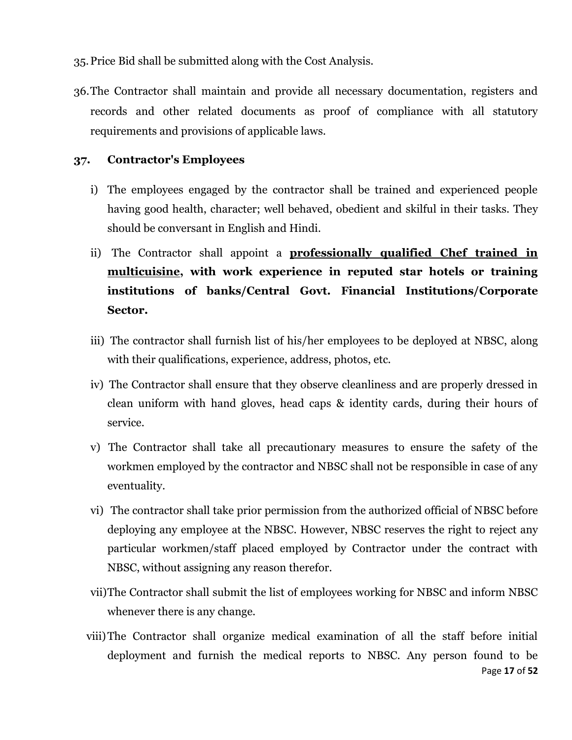- 35.Price Bid shall be submitted along with the Cost Analysis.
- 36.The Contractor shall maintain and provide all necessary documentation, registers and records and other related documents as proof of compliance with all statutory requirements and provisions of applicable laws.

#### **37. Contractor's Employees**

- i) The employees engaged by the contractor shall be trained and experienced people having good health, character; well behaved, obedient and skilful in their tasks. They should be conversant in English and Hindi.
- ii) The Contractor shall appoint a **professionally qualified Chef trained in multicuisine, with work experience in reputed star hotels or training institutions of banks/Central Govt. Financial Institutions/Corporate Sector.**
- iii) The contractor shall furnish list of his/her employees to be deployed at NBSC, along with their qualifications, experience, address, photos, etc.
- iv) The Contractor shall ensure that they observe cleanliness and are properly dressed in clean uniform with hand gloves, head caps & identity cards, during their hours of service.
- v) The Contractor shall take all precautionary measures to ensure the safety of the workmen employed by the contractor and NBSC shall not be responsible in case of any eventuality.
- vi) The contractor shall take prior permission from the authorized official of NBSC before deploying any employee at the NBSC. However, NBSC reserves the right to reject any particular workmen/staff placed employed by Contractor under the contract with NBSC, without assigning any reason therefor.
- vii)The Contractor shall submit the list of employees working for NBSC and inform NBSC whenever there is any change.
- Page **17** of **52** viii)The Contractor shall organize medical examination of all the staff before initial deployment and furnish the medical reports to NBSC. Any person found to be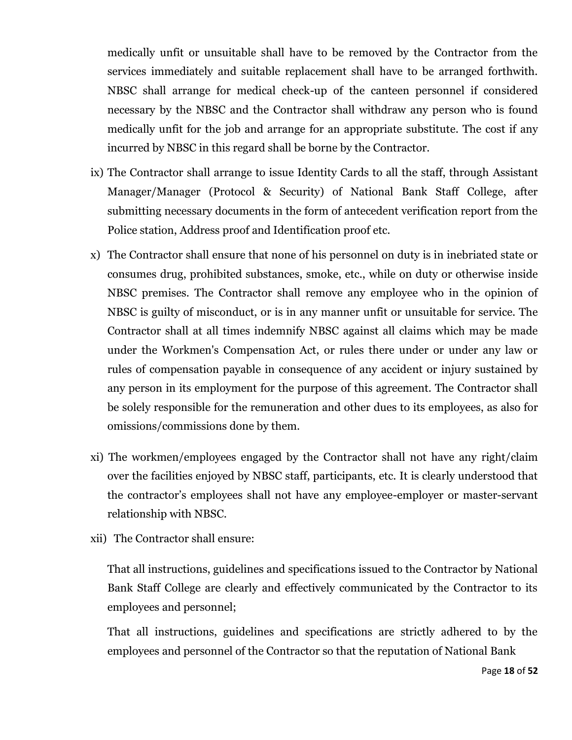medically unfit or unsuitable shall have to be removed by the Contractor from the services immediately and suitable replacement shall have to be arranged forthwith. NBSC shall arrange for medical check-up of the canteen personnel if considered necessary by the NBSC and the Contractor shall withdraw any person who is found medically unfit for the job and arrange for an appropriate substitute. The cost if any incurred by NBSC in this regard shall be borne by the Contractor.

- ix) The Contractor shall arrange to issue Identity Cards to all the staff, through Assistant Manager/Manager (Protocol & Security) of National Bank Staff College, after submitting necessary documents in the form of antecedent verification report from the Police station, Address proof and Identification proof etc.
- x) The Contractor shall ensure that none of his personnel on duty is in inebriated state or consumes drug, prohibited substances, smoke, etc., while on duty or otherwise inside NBSC premises. The Contractor shall remove any employee who in the opinion of NBSC is guilty of misconduct, or is in any manner unfit or unsuitable for service. The Contractor shall at all times indemnify NBSC against all claims which may be made under the Workmen's Compensation Act, or rules there under or under any law or rules of compensation payable in consequence of any accident or injury sustained by any person in its employment for the purpose of this agreement. The Contractor shall be solely responsible for the remuneration and other dues to its employees, as also for omissions/commissions done by them.
- xi) The workmen/employees engaged by the Contractor shall not have any right/claim over the facilities enjoyed by NBSC staff, participants, etc. It is clearly understood that the contractor's employees shall not have any employee-employer or master-servant relationship with NBSC.
- xii) The Contractor shall ensure:

That all instructions, guidelines and specifications issued to the Contractor by National Bank Staff College are clearly and effectively communicated by the Contractor to its employees and personnel;

That all instructions, guidelines and specifications are strictly adhered to by the employees and personnel of the Contractor so that the reputation of National Bank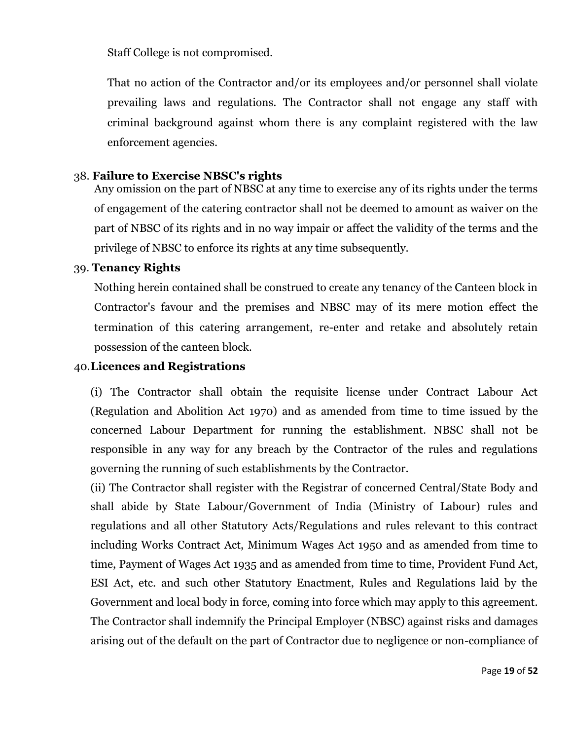Staff College is not compromised.

That no action of the Contractor and/or its employees and/or personnel shall violate prevailing laws and regulations. The Contractor shall not engage any staff with criminal background against whom there is any complaint registered with the law enforcement agencies.

#### 38. **Failure to Exercise NBSC's rights**

Any omission on the part of NBSC at any time to exercise any of its rights under the terms of engagement of the catering contractor shall not be deemed to amount as waiver on the part of NBSC of its rights and in no way impair or affect the validity of the terms and the privilege of NBSC to enforce its rights at any time subsequently.

#### 39. **Tenancy Rights**

Nothing herein contained shall be construed to create any tenancy of the Canteen block in Contractor's favour and the premises and NBSC may of its mere motion effect the termination of this catering arrangement, re-enter and retake and absolutely retain possession of the canteen block.

#### 40.**Licences and Registrations**

(i) The Contractor shall obtain the requisite license under Contract Labour Act (Regulation and Abolition Act 1970) and as amended from time to time issued by the concerned Labour Department for running the establishment. NBSC shall not be responsible in any way for any breach by the Contractor of the rules and regulations governing the running of such establishments by the Contractor.

(ii) The Contractor shall register with the Registrar of concerned Central/State Body and shall abide by State Labour/Government of India (Ministry of Labour) rules and regulations and all other Statutory Acts/Regulations and rules relevant to this contract including Works Contract Act, Minimum Wages Act 1950 and as amended from time to time, Payment of Wages Act 1935 and as amended from time to time, Provident Fund Act, ESI Act, etc. and such other Statutory Enactment, Rules and Regulations laid by the Government and local body in force, coming into force which may apply to this agreement. The Contractor shall indemnify the Principal Employer (NBSC) against risks and damages arising out of the default on the part of Contractor due to negligence or non-compliance of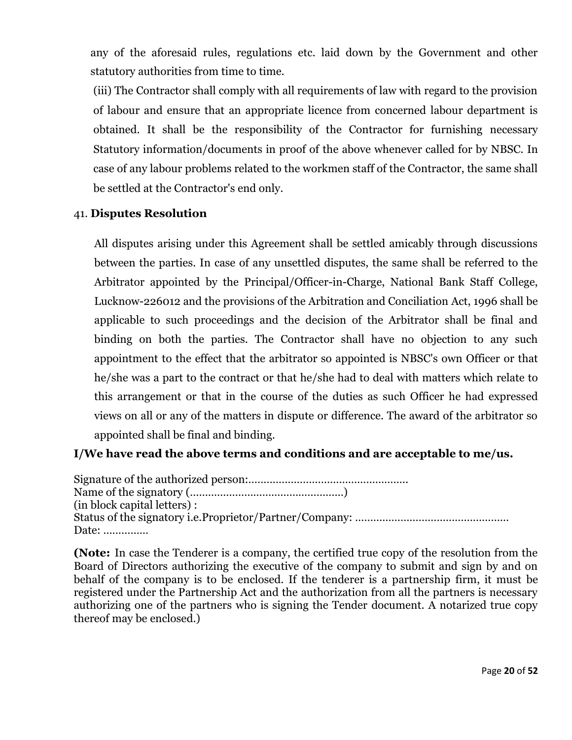any of the aforesaid rules, regulations etc. laid down by the Government and other statutory authorities from time to time.

(iii) The Contractor shall comply with all requirements of law with regard to the provision of labour and ensure that an appropriate licence from concerned labour department is obtained. It shall be the responsibility of the Contractor for furnishing necessary Statutory information/documents in proof of the above whenever called for by NBSC. In case of any labour problems related to the workmen staff of the Contractor, the same shall be settled at the Contractor's end only.

### 41. **Disputes Resolution**

All disputes arising under this Agreement shall be settled amicably through discussions between the parties. In case of any unsettled disputes, the same shall be referred to the Arbitrator appointed by the Principal/Officer-in-Charge, National Bank Staff College, Lucknow-226012 and the provisions of the Arbitration and Conciliation Act, 1996 shall be applicable to such proceedings and the decision of the Arbitrator shall be final and binding on both the parties. The Contractor shall have no objection to any such appointment to the effect that the arbitrator so appointed is NBSC's own Officer or that he/she was a part to the contract or that he/she had to deal with matters which relate to this arrangement or that in the course of the duties as such Officer he had expressed views on all or any of the matters in dispute or difference. The award of the arbitrator so appointed shall be final and binding.

### **I/We have read the above terms and conditions and are acceptable to me/us.**

Signature of the authorized person:…………………………………………….. Name of the signatory (……………………………………………) (in block capital letters) : Status of the signatory i.e.Proprietor/Partner/Company: …………………………………………… Date: ……………

**(Note:** In case the Tenderer is a company, the certified true copy of the resolution from the Board of Directors authorizing the executive of the company to submit and sign by and on behalf of the company is to be enclosed. If the tenderer is a partnership firm, it must be registered under the Partnership Act and the authorization from all the partners is necessary authorizing one of the partners who is signing the Tender document. A notarized true copy thereof may be enclosed.)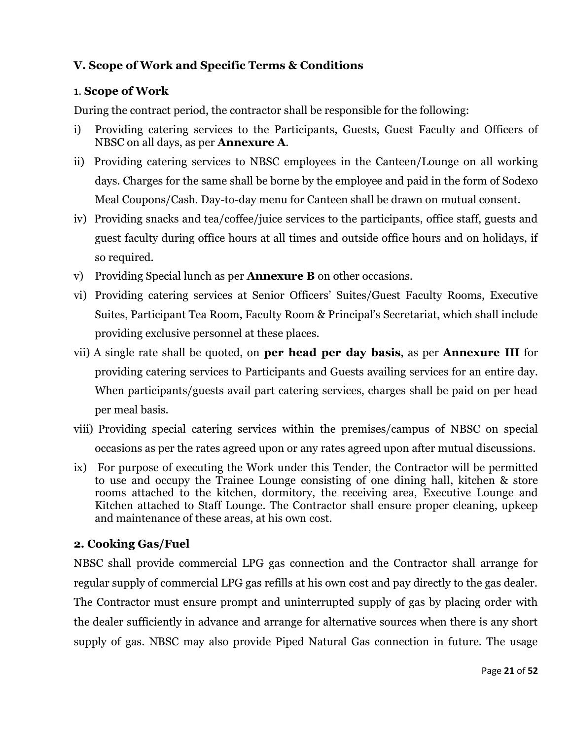### **V. Scope of Work and Specific Terms & Conditions**

### 1. **Scope of Work**

During the contract period, the contractor shall be responsible for the following:

- i) Providing catering services to the Participants, Guests, Guest Faculty and Officers of NBSC on all days, as per **Annexure A**.
- ii) Providing catering services to NBSC employees in the Canteen/Lounge on all working days. Charges for the same shall be borne by the employee and paid in the form of Sodexo Meal Coupons/Cash. Day-to-day menu for Canteen shall be drawn on mutual consent.
- iv) Providing snacks and tea/coffee/juice services to the participants, office staff, guests and guest faculty during office hours at all times and outside office hours and on holidays, if so required.
- v) Providing Special lunch as per **Annexure B** on other occasions.
- vi) Providing catering services at Senior Officers' Suites/Guest Faculty Rooms, Executive Suites, Participant Tea Room, Faculty Room & Principal's Secretariat, which shall include providing exclusive personnel at these places.
- vii) A single rate shall be quoted, on **per head per day basis**, as per **Annexure III** for providing catering services to Participants and Guests availing services for an entire day. When participants/guests avail part catering services, charges shall be paid on per head per meal basis.
- viii) Providing special catering services within the premises/campus of NBSC on special occasions as per the rates agreed upon or any rates agreed upon after mutual discussions.
- ix) For purpose of executing the Work under this Tender, the Contractor will be permitted to use and occupy the Trainee Lounge consisting of one dining hall, kitchen & store rooms attached to the kitchen, dormitory, the receiving area, Executive Lounge and Kitchen attached to Staff Lounge. The Contractor shall ensure proper cleaning, upkeep and maintenance of these areas, at his own cost.

### **2. Cooking Gas/Fuel**

NBSC shall provide commercial LPG gas connection and the Contractor shall arrange for regular supply of commercial LPG gas refills at his own cost and pay directly to the gas dealer. The Contractor must ensure prompt and uninterrupted supply of gas by placing order with the dealer sufficiently in advance and arrange for alternative sources when there is any short supply of gas. NBSC may also provide Piped Natural Gas connection in future. The usage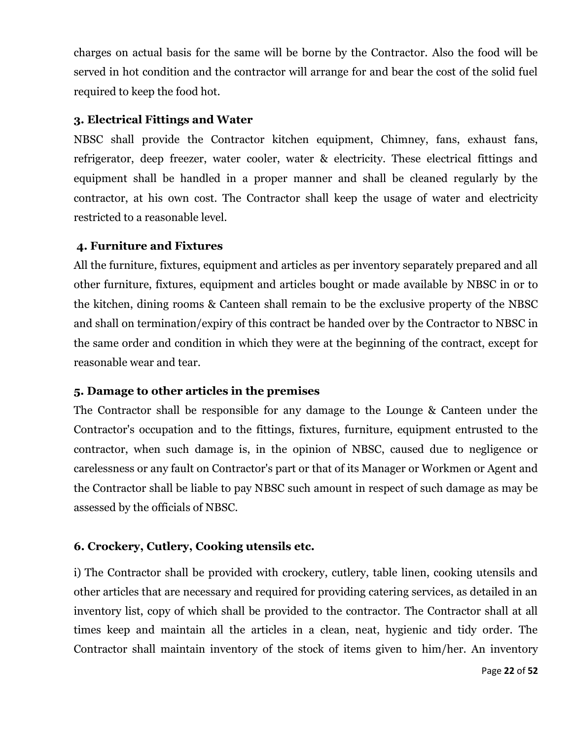charges on actual basis for the same will be borne by the Contractor. Also the food will be served in hot condition and the contractor will arrange for and bear the cost of the solid fuel required to keep the food hot.

### **3. Electrical Fittings and Water**

NBSC shall provide the Contractor kitchen equipment, Chimney, fans, exhaust fans, refrigerator, deep freezer, water cooler, water & electricity. These electrical fittings and equipment shall be handled in a proper manner and shall be cleaned regularly by the contractor, at his own cost. The Contractor shall keep the usage of water and electricity restricted to a reasonable level.

### **4. Furniture and Fixtures**

All the furniture, fixtures, equipment and articles as per inventory separately prepared and all other furniture, fixtures, equipment and articles bought or made available by NBSC in or to the kitchen, dining rooms & Canteen shall remain to be the exclusive property of the NBSC and shall on termination/expiry of this contract be handed over by the Contractor to NBSC in the same order and condition in which they were at the beginning of the contract, except for reasonable wear and tear.

### **5. Damage to other articles in the premises**

The Contractor shall be responsible for any damage to the Lounge & Canteen under the Contractor's occupation and to the fittings, fixtures, furniture, equipment entrusted to the contractor, when such damage is, in the opinion of NBSC, caused due to negligence or carelessness or any fault on Contractor's part or that of its Manager or Workmen or Agent and the Contractor shall be liable to pay NBSC such amount in respect of such damage as may be assessed by the officials of NBSC.

### **6. Crockery, Cutlery, Cooking utensils etc.**

i) The Contractor shall be provided with crockery, cutlery, table linen, cooking utensils and other articles that are necessary and required for providing catering services, as detailed in an inventory list, copy of which shall be provided to the contractor. The Contractor shall at all times keep and maintain all the articles in a clean, neat, hygienic and tidy order. The Contractor shall maintain inventory of the stock of items given to him/her. An inventory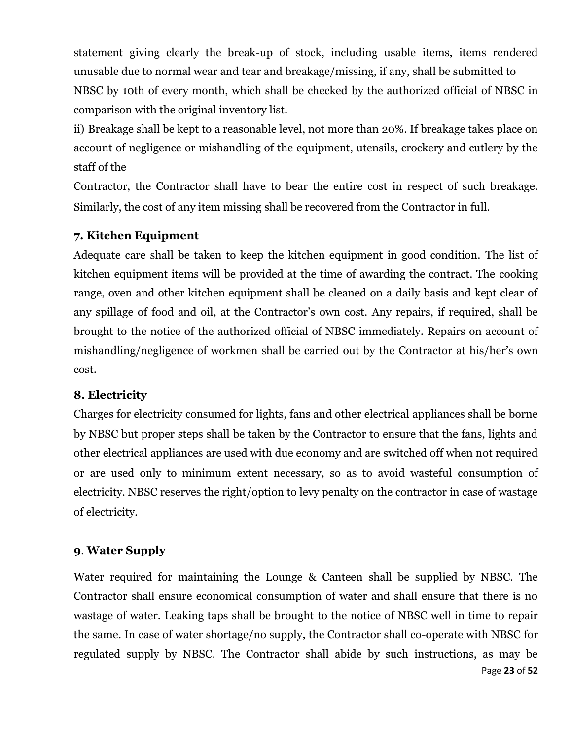statement giving clearly the break-up of stock, including usable items, items rendered unusable due to normal wear and tear and breakage/missing, if any, shall be submitted to NBSC by 10th of every month, which shall be checked by the authorized official of NBSC in comparison with the original inventory list.

ii) Breakage shall be kept to a reasonable level, not more than 20%. If breakage takes place on account of negligence or mishandling of the equipment, utensils, crockery and cutlery by the staff of the

Contractor, the Contractor shall have to bear the entire cost in respect of such breakage. Similarly, the cost of any item missing shall be recovered from the Contractor in full.

### **7. Kitchen Equipment**

Adequate care shall be taken to keep the kitchen equipment in good condition. The list of kitchen equipment items will be provided at the time of awarding the contract. The cooking range, oven and other kitchen equipment shall be cleaned on a daily basis and kept clear of any spillage of food and oil, at the Contractor's own cost. Any repairs, if required, shall be brought to the notice of the authorized official of NBSC immediately. Repairs on account of mishandling/negligence of workmen shall be carried out by the Contractor at his/her's own cost.

### **8. Electricity**

Charges for electricity consumed for lights, fans and other electrical appliances shall be borne by NBSC but proper steps shall be taken by the Contractor to ensure that the fans, lights and other electrical appliances are used with due economy and are switched off when not required or are used only to minimum extent necessary, so as to avoid wasteful consumption of electricity. NBSC reserves the right/option to levy penalty on the contractor in case of wastage of electricity.

### **9**. **Water Supply**

Page **23** of **52** Water required for maintaining the Lounge & Canteen shall be supplied by NBSC. The Contractor shall ensure economical consumption of water and shall ensure that there is no wastage of water. Leaking taps shall be brought to the notice of NBSC well in time to repair the same. In case of water shortage/no supply, the Contractor shall co-operate with NBSC for regulated supply by NBSC. The Contractor shall abide by such instructions, as may be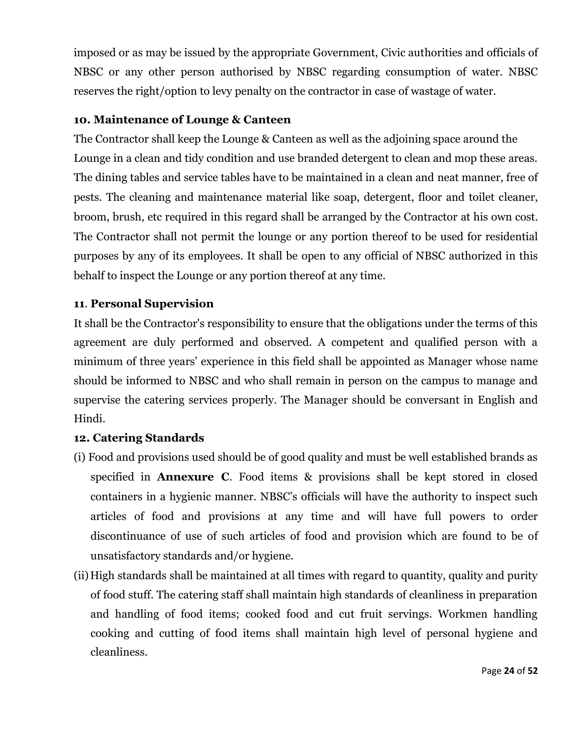imposed or as may be issued by the appropriate Government, Civic authorities and officials of NBSC or any other person authorised by NBSC regarding consumption of water. NBSC reserves the right/option to levy penalty on the contractor in case of wastage of water.

### **10. Maintenance of Lounge & Canteen**

The Contractor shall keep the Lounge & Canteen as well as the adjoining space around the Lounge in a clean and tidy condition and use branded detergent to clean and mop these areas. The dining tables and service tables have to be maintained in a clean and neat manner, free of pests. The cleaning and maintenance material like soap, detergent, floor and toilet cleaner, broom, brush, etc required in this regard shall be arranged by the Contractor at his own cost. The Contractor shall not permit the lounge or any portion thereof to be used for residential purposes by any of its employees. It shall be open to any official of NBSC authorized in this behalf to inspect the Lounge or any portion thereof at any time.

### **11**. **Personal Supervision**

It shall be the Contractor's responsibility to ensure that the obligations under the terms of this agreement are duly performed and observed. A competent and qualified person with a minimum of three years' experience in this field shall be appointed as Manager whose name should be informed to NBSC and who shall remain in person on the campus to manage and supervise the catering services properly. The Manager should be conversant in English and Hindi.

### **12. Catering Standards**

- (i) Food and provisions used should be of good quality and must be well established brands as specified in **Annexure C**. Food items & provisions shall be kept stored in closed containers in a hygienic manner. NBSC's officials will have the authority to inspect such articles of food and provisions at any time and will have full powers to order discontinuance of use of such articles of food and provision which are found to be of unsatisfactory standards and/or hygiene.
- (ii)High standards shall be maintained at all times with regard to quantity, quality and purity of food stuff. The catering staff shall maintain high standards of cleanliness in preparation and handling of food items; cooked food and cut fruit servings. Workmen handling cooking and cutting of food items shall maintain high level of personal hygiene and cleanliness.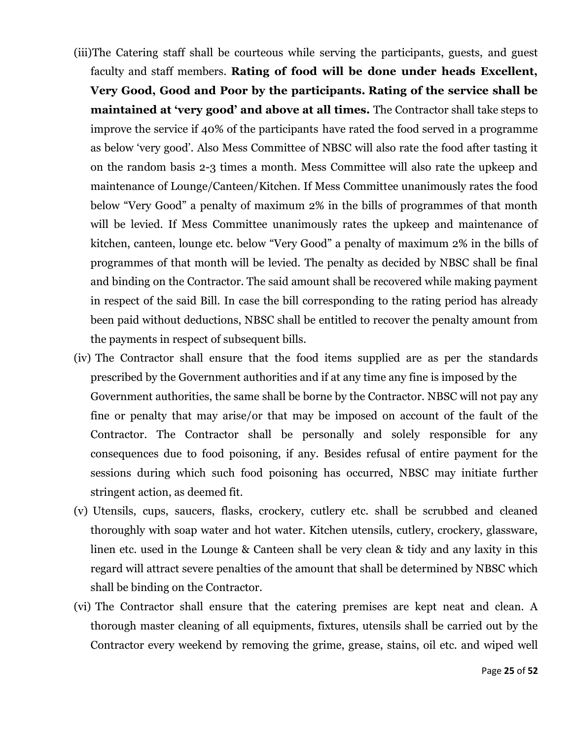- (iii)The Catering staff shall be courteous while serving the participants, guests, and guest faculty and staff members. **Rating of food will be done under heads Excellent, Very Good, Good and Poor by the participants. Rating of the service shall be maintained at 'very good' and above at all times.** The Contractor shall take steps to improve the service if 40% of the participants have rated the food served in a programme as below 'very good'. Also Mess Committee of NBSC will also rate the food after tasting it on the random basis 2-3 times a month. Mess Committee will also rate the upkeep and maintenance of Lounge/Canteen/Kitchen. If Mess Committee unanimously rates the food below "Very Good" a penalty of maximum 2% in the bills of programmes of that month will be levied. If Mess Committee unanimously rates the upkeep and maintenance of kitchen, canteen, lounge etc. below "Very Good" a penalty of maximum 2% in the bills of programmes of that month will be levied. The penalty as decided by NBSC shall be final and binding on the Contractor. The said amount shall be recovered while making payment in respect of the said Bill. In case the bill corresponding to the rating period has already been paid without deductions, NBSC shall be entitled to recover the penalty amount from the payments in respect of subsequent bills.
- (iv) The Contractor shall ensure that the food items supplied are as per the standards prescribed by the Government authorities and if at any time any fine is imposed by the Government authorities, the same shall be borne by the Contractor. NBSC will not pay any fine or penalty that may arise/or that may be imposed on account of the fault of the Contractor. The Contractor shall be personally and solely responsible for any consequences due to food poisoning, if any. Besides refusal of entire payment for the sessions during which such food poisoning has occurred, NBSC may initiate further stringent action, as deemed fit.
- (v) Utensils, cups, saucers, flasks, crockery, cutlery etc. shall be scrubbed and cleaned thoroughly with soap water and hot water. Kitchen utensils, cutlery, crockery, glassware, linen etc. used in the Lounge & Canteen shall be very clean & tidy and any laxity in this regard will attract severe penalties of the amount that shall be determined by NBSC which shall be binding on the Contractor.
- (vi) The Contractor shall ensure that the catering premises are kept neat and clean. A thorough master cleaning of all equipments, fixtures, utensils shall be carried out by the Contractor every weekend by removing the grime, grease, stains, oil etc. and wiped well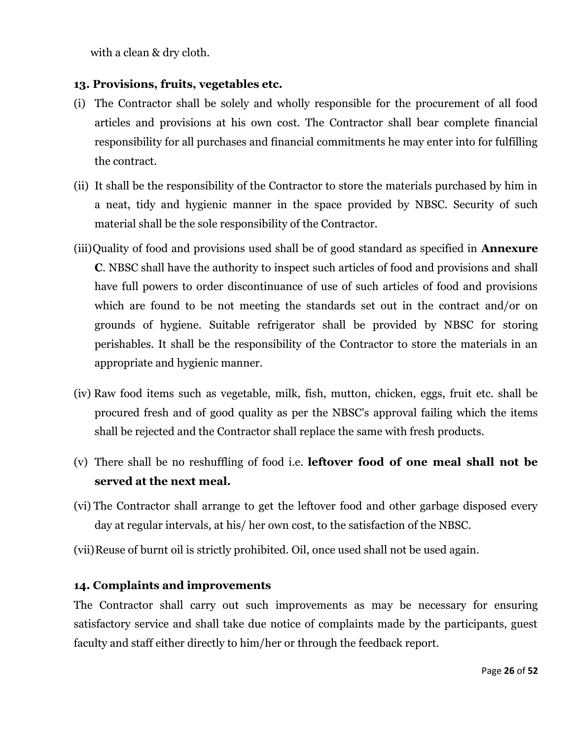with a clean & dry cloth.

### **13. Provisions, fruits, vegetables etc.**

- (i) The Contractor shall be solely and wholly responsible for the procurement of all food articles and provisions at his own cost. The Contractor shall bear complete financial responsibility for all purchases and financial commitments he may enter into for fulfilling the contract.
- (ii) It shall be the responsibility of the Contractor to store the materials purchased by him in a neat, tidy and hygienic manner in the space provided by NBSC. Security of such material shall be the sole responsibility of the Contractor.
- (iii)Quality of food and provisions used shall be of good standard as specified in **Annexure C**. NBSC shall have the authority to inspect such articles of food and provisions and shall have full powers to order discontinuance of use of such articles of food and provisions which are found to be not meeting the standards set out in the contract and/or on grounds of hygiene. Suitable refrigerator shall be provided by NBSC for storing perishables. It shall be the responsibility of the Contractor to store the materials in an appropriate and hygienic manner.
- (iv) Raw food items such as vegetable, milk, fish, mutton, chicken, eggs, fruit etc. shall be procured fresh and of good quality as per the NBSC's approval failing which the items shall be rejected and the Contractor shall replace the same with fresh products.
- (v) There shall be no reshuffling of food i.e. **leftover food of one meal shall not be served at the next meal.**
- (vi) The Contractor shall arrange to get the leftover food and other garbage disposed every day at regular intervals, at his/ her own cost, to the satisfaction of the NBSC.
- (vii)Reuse of burnt oil is strictly prohibited. Oil, once used shall not be used again.

### **14. Complaints and improvements**

The Contractor shall carry out such improvements as may be necessary for ensuring satisfactory service and shall take due notice of complaints made by the participants, guest faculty and staff either directly to him/her or through the feedback report.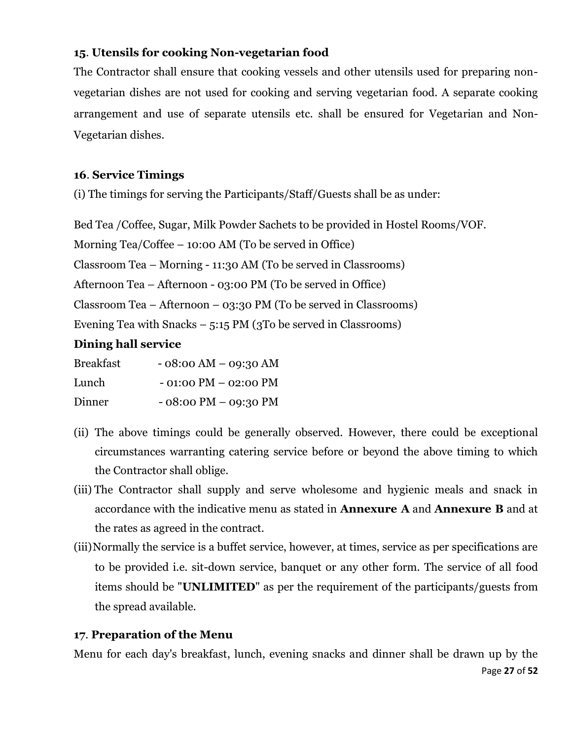### **15**. **Utensils for cooking Non-vegetarian food**

The Contractor shall ensure that cooking vessels and other utensils used for preparing nonvegetarian dishes are not used for cooking and serving vegetarian food. A separate cooking arrangement and use of separate utensils etc. shall be ensured for Vegetarian and Non-Vegetarian dishes.

### **16**. **Service Timings**

(i) The timings for serving the Participants/Staff/Guests shall be as under:

Bed Tea /Coffee, Sugar, Milk Powder Sachets to be provided in Hostel Rooms/VOF.

Morning Tea/Coffee – 10:00 AM (To be served in Office)

Classroom Tea – Morning - 11:30 AM (To be served in Classrooms)

Afternoon Tea – Afternoon - 03:00 PM (To be served in Office)

Classroom Tea – Afternoon – 03:30 PM (To be served in Classrooms)

Evening Tea with Snacks  $-5:15$  PM (3To be served in Classrooms)

### **Dining hall service**

| <b>Breakfast</b> | $-08:00 AM - 09:30 AM$                 |
|------------------|----------------------------------------|
| Lunch            | $-01:00 \text{ PM} - 02:00 \text{ PM}$ |
| Dinner           | $-08:00 \text{ PM} - 09:30 \text{ PM}$ |

- (ii) The above timings could be generally observed. However, there could be exceptional circumstances warranting catering service before or beyond the above timing to which the Contractor shall oblige.
- (iii) The Contractor shall supply and serve wholesome and hygienic meals and snack in accordance with the indicative menu as stated in **Annexure A** and **Annexure B** and at the rates as agreed in the contract.
- (iii)Normally the service is a buffet service, however, at times, service as per specifications are to be provided i.e. sit-down service, banquet or any other form. The service of all food items should be "**UNLIMITED**" as per the requirement of the participants/guests from the spread available.

### **17**. **Preparation of the Menu**

Page **27** of **52** Menu for each day's breakfast, lunch, evening snacks and dinner shall be drawn up by the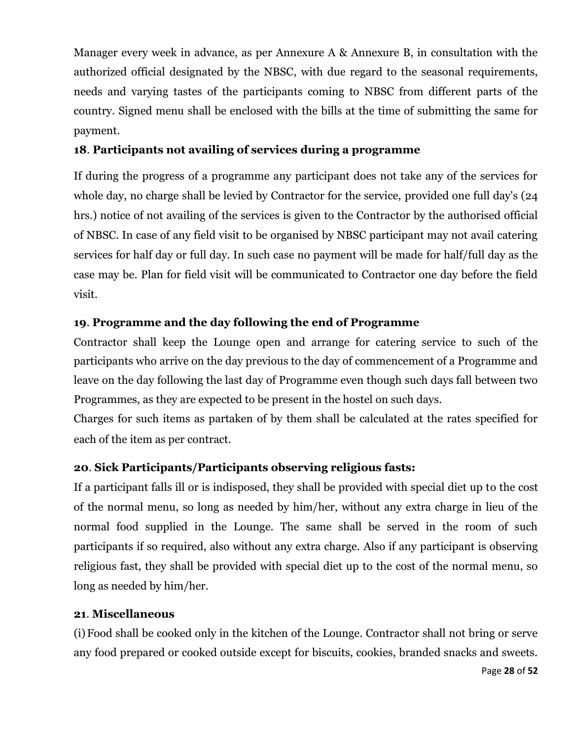Manager every week in advance, as per Annexure A & Annexure B, in consultation with the authorized official designated by the NBSC, with due regard to the seasonal requirements, needs and varying tastes of the participants coming to NBSC from different parts of the country. Signed menu shall be enclosed with the bills at the time of submitting the same for payment.

### **18**. **Participants not availing of services during a programme**

If during the progress of a programme any participant does not take any of the services for whole day, no charge shall be levied by Contractor for the service, provided one full day's (24 hrs.) notice of not availing of the services is given to the Contractor by the authorised official of NBSC. In case of any field visit to be organised by NBSC participant may not avail catering services for half day or full day. In such case no payment will be made for half/full day as the case may be. Plan for field visit will be communicated to Contractor one day before the field visit.

### **19**. **Programme and the day following the end of Programme**

Contractor shall keep the Lounge open and arrange for catering service to such of the participants who arrive on the day previous to the day of commencement of a Programme and leave on the day following the last day of Programme even though such days fall between two Programmes, as they are expected to be present in the hostel on such days.

Charges for such items as partaken of by them shall be calculated at the rates specified for each of the item as per contract.

### **20**. **Sick Participants/Participants observing religious fasts:**

If a participant falls ill or is indisposed, they shall be provided with special diet up to the cost of the normal menu, so long as needed by him/her, without any extra charge in lieu of the normal food supplied in the Lounge. The same shall be served in the room of such participants if so required, also without any extra charge. Also if any participant is observing religious fast, they shall be provided with special diet up to the cost of the normal menu, so long as needed by him/her.

### **21**. **Miscellaneous**

(i)Food shall be cooked only in the kitchen of the Lounge. Contractor shall not bring or serve any food prepared or cooked outside except for biscuits, cookies, branded snacks and sweets.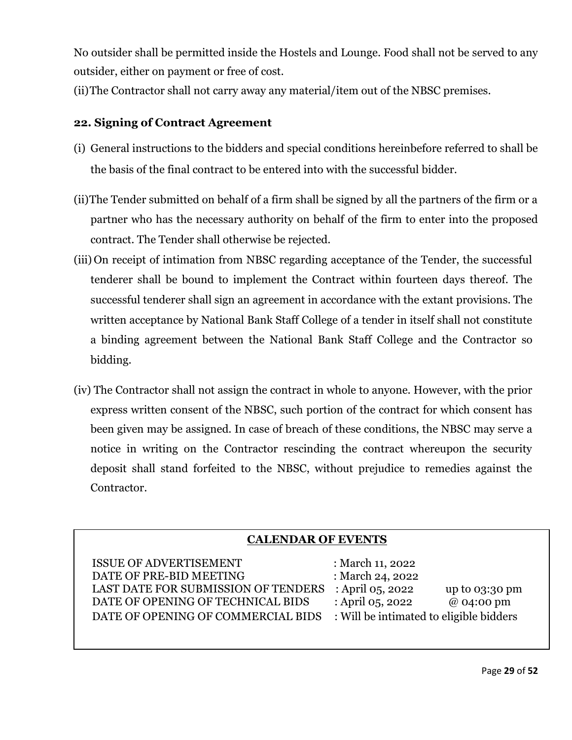No outsider shall be permitted inside the Hostels and Lounge. Food shall not be served to any outsider, either on payment or free of cost.

(ii)The Contractor shall not carry away any material/item out of the NBSC premises.

### **22. Signing of Contract Agreement**

- (i) General instructions to the bidders and special conditions hereinbefore referred to shall be the basis of the final contract to be entered into with the successful bidder.
- (ii)The Tender submitted on behalf of a firm shall be signed by all the partners of the firm or a partner who has the necessary authority on behalf of the firm to enter into the proposed contract. The Tender shall otherwise be rejected.
- (iii) On receipt of intimation from NBSC regarding acceptance of the Tender, the successful tenderer shall be bound to implement the Contract within fourteen days thereof. The successful tenderer shall sign an agreement in accordance with the extant provisions. The written acceptance by National Bank Staff College of a tender in itself shall not constitute a binding agreement between the National Bank Staff College and the Contractor so bidding.
- (iv) The Contractor shall not assign the contract in whole to anyone. However, with the prior express written consent of the NBSC, such portion of the contract for which consent has been given may be assigned. In case of breach of these conditions, the NBSC may serve a notice in writing on the Contractor rescinding the contract whereupon the security deposit shall stand forfeited to the NBSC, without prejudice to remedies against the Contractor.

### **CALENDAR OF EVENTS**

ISSUE OF ADVERTISEMENT : March 11, 2022 DATE OF PRE-BID MEETING : March 24, 2022 LAST DATE FOR SUBMISSION OF TENDERS : April 05, 2022 up to 03:30 pm DATE OF OPENING OF TECHNICAL BIDS : April 05, 2022 @ 04:00 pm DATE OF OPENING OF COMMERCIAL BIDS : Will be intimated to eligible bidders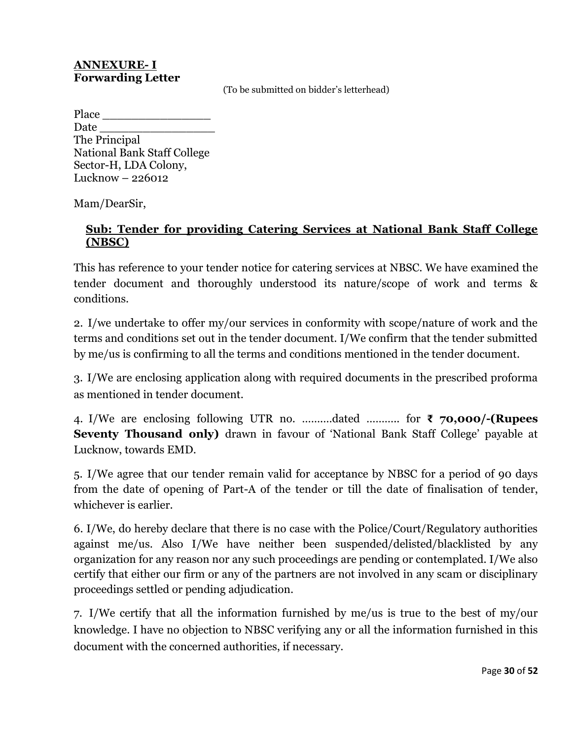#### **ANNEXURE- I Forwarding Letter**

(To be submitted on bidder's letterhead)

Place Date The Principal National Bank Staff College Sector-H, LDA Colony, Lucknow – 226012

Mam/DearSir,

### **Sub: Tender for providing Catering Services at National Bank Staff College (NBSC)**

This has reference to your tender notice for catering services at NBSC. We have examined the tender document and thoroughly understood its nature/scope of work and terms & conditions.

2. I/we undertake to offer my/our services in conformity with scope/nature of work and the terms and conditions set out in the tender document. I/We confirm that the tender submitted by me/us is confirming to all the terms and conditions mentioned in the tender document.

3. I/We are enclosing application along with required documents in the prescribed proforma as mentioned in tender document.

4. I/We are enclosing following UTR no. …….…dated ……….. for **₹ 70,000/-(Rupees Seventy Thousand only)** drawn in favour of 'National Bank Staff College' payable at Lucknow, towards EMD.

5. I/We agree that our tender remain valid for acceptance by NBSC for a period of 90 days from the date of opening of Part-A of the tender or till the date of finalisation of tender, whichever is earlier.

6. I/We, do hereby declare that there is no case with the Police/Court/Regulatory authorities against me/us. Also I/We have neither been suspended/delisted/blacklisted by any organization for any reason nor any such proceedings are pending or contemplated. I/We also certify that either our firm or any of the partners are not involved in any scam or disciplinary proceedings settled or pending adjudication.

7. I/We certify that all the information furnished by me/us is true to the best of my/our knowledge. I have no objection to NBSC verifying any or all the information furnished in this document with the concerned authorities, if necessary.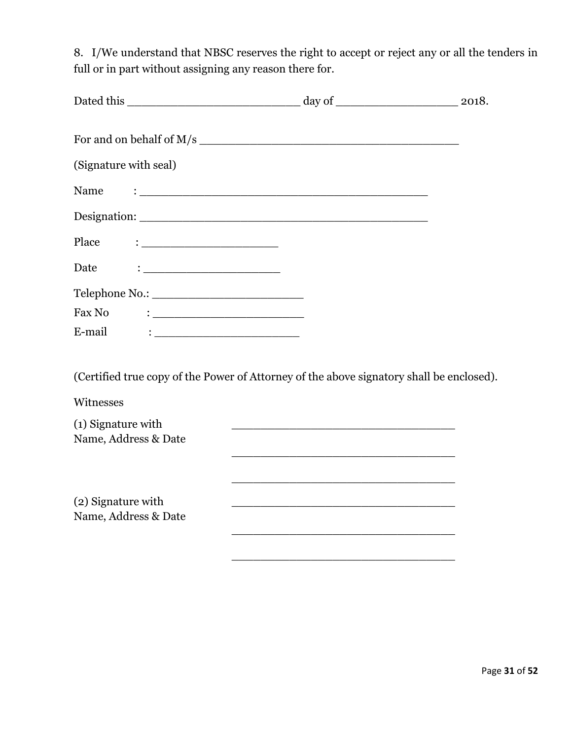8. I/We understand that NBSC reserves the right to accept or reject any or all the tenders in full or in part without assigning any reason there for.

| (Signature with seal) |  |
|-----------------------|--|
|                       |  |
|                       |  |
|                       |  |
|                       |  |
|                       |  |
|                       |  |
| E-mail                |  |

(Certified true copy of the Power of Attorney of the above signatory shall be enclosed).

Witnesses

| (1) Signature with   |  |  |
|----------------------|--|--|
| Name, Address & Date |  |  |
|                      |  |  |
|                      |  |  |
|                      |  |  |
| (2) Signature with   |  |  |
| Name, Address & Date |  |  |
|                      |  |  |
|                      |  |  |
|                      |  |  |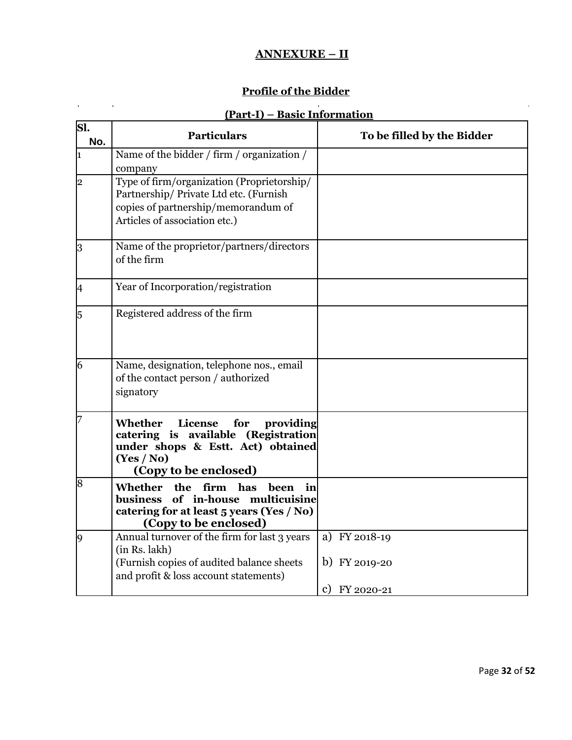### **ANNEXURE – II**

# **Profile of the Bidder**

 $\mathcal{L}^{\text{max}}_{\text{max}}$  , where  $\mathcal{L}^{\text{max}}_{\text{max}}$ 

# **(Part-I) – Basic Information**

| Sl.<br>No. | <b>Particulars</b>                                                                                                                                                  | To be filled by the Bidder     |  |  |
|------------|---------------------------------------------------------------------------------------------------------------------------------------------------------------------|--------------------------------|--|--|
| 1          | Name of the bidder / firm / organization /<br>company                                                                                                               |                                |  |  |
| 2          | Type of firm/organization (Proprietorship/<br>Partnership/ Private Ltd etc. (Furnish<br>copies of partnership/memorandum of<br>Articles of association etc.)        |                                |  |  |
| 3          | Name of the proprietor/partners/directors<br>of the firm                                                                                                            |                                |  |  |
| I4         | Year of Incorporation/registration                                                                                                                                  |                                |  |  |
| 5          | Registered address of the firm                                                                                                                                      |                                |  |  |
| 6          | Name, designation, telephone nos., email<br>of the contact person / authorized<br>signatory                                                                         |                                |  |  |
|            | License<br>Whether<br>for<br>providing<br>catering is available (Registration<br>under shops & Estt. Act) obtained<br>(Yes / No)<br>(Copy to be enclosed)           |                                |  |  |
| 8          | <b>Whether</b><br>firm has<br>the<br>been<br>in<br>of in-house multicuisine<br><b>business</b><br>catering for at least 5 years (Yes / No)<br>(Copy to be enclosed) |                                |  |  |
| 9          | Annual turnover of the firm for last 3 years<br>(in Rs. lakh)<br>(Furnish copies of audited balance sheets                                                          | a) FY 2018-19<br>b) FY 2019-20 |  |  |
|            | and profit & loss account statements)                                                                                                                               | c) FY 2020-21                  |  |  |

 $\hat{\mathbf{r}}$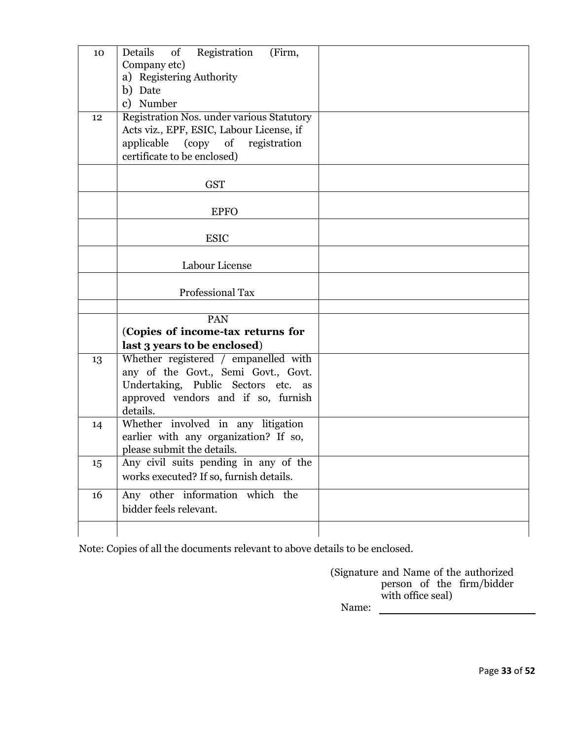| 10 | of<br>Registration<br>(Firm,<br>Details<br>Company etc)<br>a) Registering Authority<br>b) Date<br>c) Number                                                           |  |
|----|-----------------------------------------------------------------------------------------------------------------------------------------------------------------------|--|
| 12 | Registration Nos. under various Statutory<br>Acts viz., EPF, ESIC, Labour License, if<br>applicable (copy of registration<br>certificate to be enclosed)              |  |
|    | <b>GST</b>                                                                                                                                                            |  |
|    | <b>EPFO</b>                                                                                                                                                           |  |
|    | <b>ESIC</b>                                                                                                                                                           |  |
|    | Labour License                                                                                                                                                        |  |
|    | <b>Professional Tax</b>                                                                                                                                               |  |
|    |                                                                                                                                                                       |  |
|    | PAN                                                                                                                                                                   |  |
|    | (Copies of income-tax returns for                                                                                                                                     |  |
|    | last 3 years to be enclosed)                                                                                                                                          |  |
| 13 | Whether registered / empanelled with<br>any of the Govt., Semi Govt., Govt.<br>Undertaking, Public Sectors etc. as<br>approved vendors and if so, furnish<br>details. |  |
| 14 | Whether involved in any litigation<br>earlier with any organization? If so,<br>please submit the details.                                                             |  |
| 15 | Any civil suits pending in any of the<br>works executed? If so, furnish details.                                                                                      |  |
| 16 | Any other information which the<br>bidder feels relevant.                                                                                                             |  |
|    |                                                                                                                                                                       |  |

Note: Copies of all the documents relevant to above details to be enclosed.

(Signature and Name of the authorized person of the firm/bidder with office seal) Name: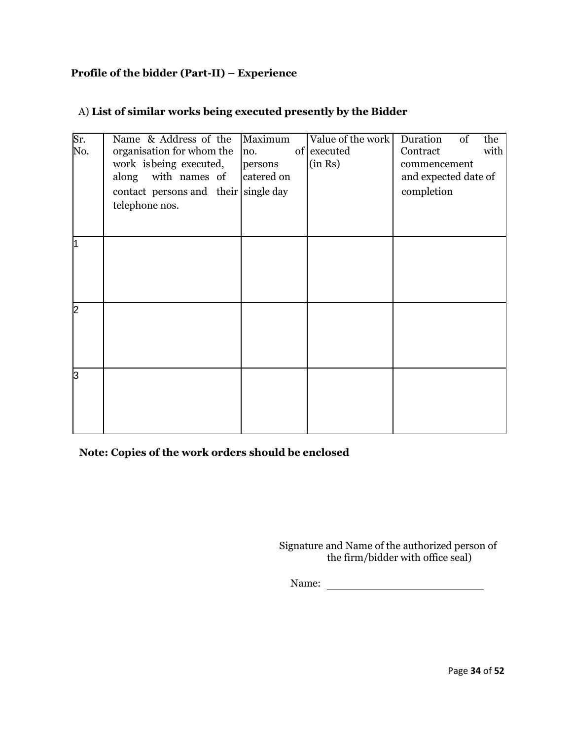#### **Profile of the bidder (Part-II) – Experience**

| Sr.<br>No. | Name & Address of the<br>organisation for whom the<br>work is being executed,<br>with names of<br>along<br>contact persons and their single day<br>telephone nos. | Maximum<br>no.<br>persons<br>catered on | Value of the work<br>of executed<br>(in Rs) | Duration<br>of<br>the<br>with<br>Contract<br>commencement<br>and expected date of<br>completion |
|------------|-------------------------------------------------------------------------------------------------------------------------------------------------------------------|-----------------------------------------|---------------------------------------------|-------------------------------------------------------------------------------------------------|
| l1         |                                                                                                                                                                   |                                         |                                             |                                                                                                 |
| 2          |                                                                                                                                                                   |                                         |                                             |                                                                                                 |
| Iз         |                                                                                                                                                                   |                                         |                                             |                                                                                                 |

### A) **List of similar works being executed presently by the Bidder**

**Note: Copies of the work orders should be enclosed**

Signature and Name of the authorized person of the firm/bidder with office seal)

Name: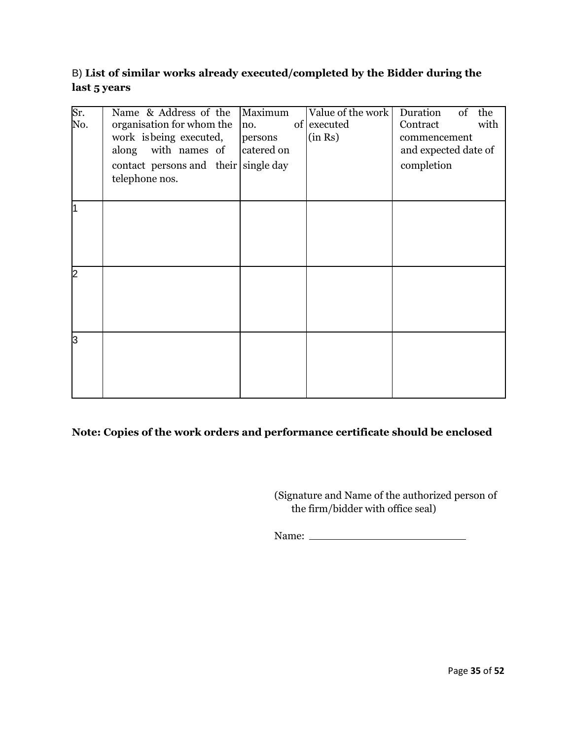### B) **List of similar works already executed/completed by the Bidder during the last 5 years**

| Sr.<br>No. | Name & Address of the<br>organisation for whom the<br>work is being executed,<br>along with names of<br>contact persons and their single day<br>telephone nos. | Maximum<br>no.<br>persons<br>catered on | Value of the work<br>of executed<br>(in Rs) | Duration<br>of<br>the<br>with<br>Contract<br>commencement<br>and expected date of<br>completion |
|------------|----------------------------------------------------------------------------------------------------------------------------------------------------------------|-----------------------------------------|---------------------------------------------|-------------------------------------------------------------------------------------------------|
| ł1         |                                                                                                                                                                |                                         |                                             |                                                                                                 |
| 2          |                                                                                                                                                                |                                         |                                             |                                                                                                 |
| l3         |                                                                                                                                                                |                                         |                                             |                                                                                                 |

#### **Note: Copies of the work orders and performance certificate should be enclosed**

(Signature and Name of the authorized person of the firm/bidder with office seal)

Name: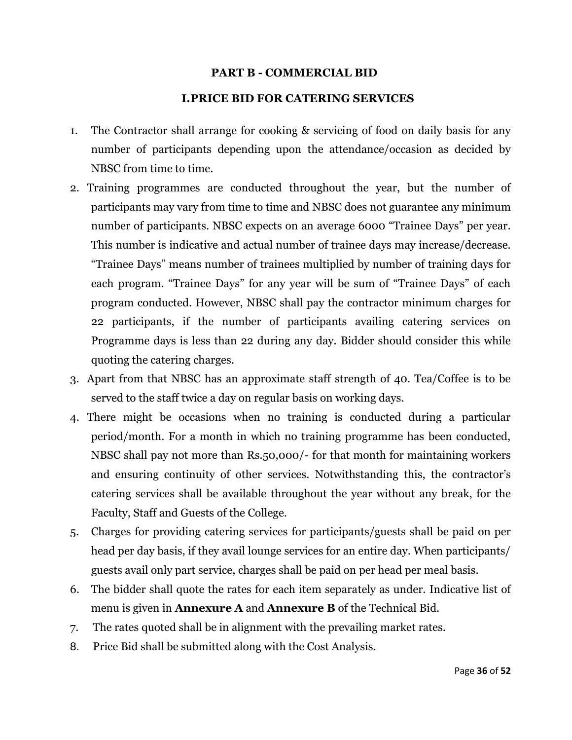#### **PART B - COMMERCIAL BID**

#### **I.PRICE BID FOR CATERING SERVICES**

- 1. The Contractor shall arrange for cooking & servicing of food on daily basis for any number of participants depending upon the attendance/occasion as decided by NBSC from time to time.
- 2. Training programmes are conducted throughout the year, but the number of participants may vary from time to time and NBSC does not guarantee any minimum number of participants. NBSC expects on an average 6000 "Trainee Days" per year. This number is indicative and actual number of trainee days may increase/decrease. "Trainee Days" means number of trainees multiplied by number of training days for each program. "Trainee Days" for any year will be sum of "Trainee Days" of each program conducted. However, NBSC shall pay the contractor minimum charges for 22 participants, if the number of participants availing catering services on Programme days is less than 22 during any day. Bidder should consider this while quoting the catering charges.
- 3. Apart from that NBSC has an approximate staff strength of 40. Tea/Coffee is to be served to the staff twice a day on regular basis on working days.
- 4. There might be occasions when no training is conducted during a particular period/month. For a month in which no training programme has been conducted, NBSC shall pay not more than Rs.50,000/- for that month for maintaining workers and ensuring continuity of other services. Notwithstanding this, the contractor's catering services shall be available throughout the year without any break, for the Faculty, Staff and Guests of the College.
- 5. Charges for providing catering services for participants/guests shall be paid on per head per day basis, if they avail lounge services for an entire day. When participants/ guests avail only part service, charges shall be paid on per head per meal basis.
- 6. The bidder shall quote the rates for each item separately as under. Indicative list of menu is given in **Annexure A** and **Annexure B** of the Technical Bid.
- 7. The rates quoted shall be in alignment with the prevailing market rates.
- 8. Price Bid shall be submitted along with the Cost Analysis.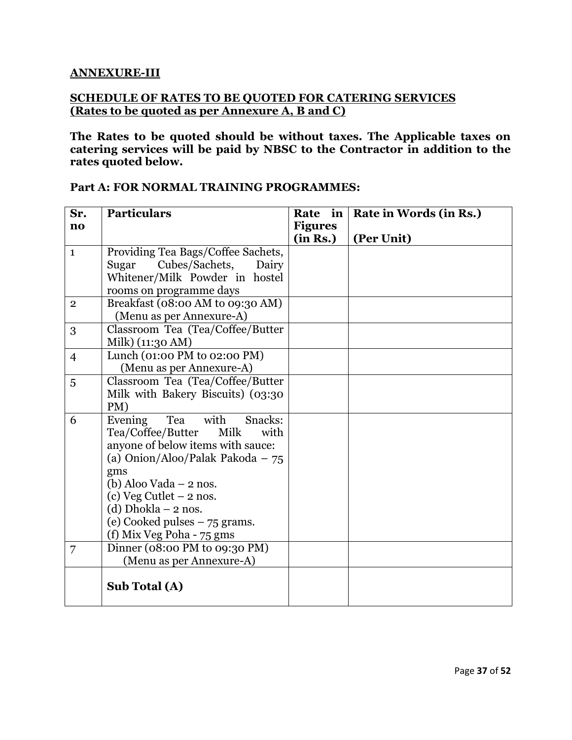#### **ANNEXURE-III**

#### **SCHEDULE OF RATES TO BE QUOTED FOR CATERING SERVICES (Rates to be quoted as per Annexure A, B and C)**

**The Rates to be quoted should be without taxes. The Applicable taxes on catering services will be paid by NBSC to the Contractor in addition to the rates quoted below.**

| Sr.                    | <b>Particulars</b>                 | Rate in        | Rate in Words (in Rs.) |
|------------------------|------------------------------------|----------------|------------------------|
| $\mathbf{n}\mathbf{o}$ |                                    | <b>Figures</b> |                        |
|                        |                                    | (in Rs.)       | (Per Unit)             |
| $\mathbf{1}$           | Providing Tea Bags/Coffee Sachets, |                |                        |
|                        | Cubes/Sachets,<br>Sugar<br>Dairy   |                |                        |
|                        | Whitener/Milk Powder in hostel     |                |                        |
|                        | rooms on programme days            |                |                        |
| $\mathbf{2}$           | Breakfast (08:00 AM to 09:30 AM)   |                |                        |
|                        | (Menu as per Annexure-A)           |                |                        |
| 3                      | Classroom Tea (Tea/Coffee/Butter   |                |                        |
|                        | Milk) (11:30 AM)                   |                |                        |
| $\overline{4}$         | Lunch (01:00 PM to 02:00 PM)       |                |                        |
|                        | (Menu as per Annexure-A)           |                |                        |
| 5                      | Classroom Tea (Tea/Coffee/Butter   |                |                        |
|                        | Milk with Bakery Biscuits) (03:30  |                |                        |
|                        | PM)                                |                |                        |
| 6                      | Evening<br>with<br>Tea<br>Snacks:  |                |                        |
|                        | Tea/Coffee/Butter<br>Milk<br>with  |                |                        |
|                        | anyone of below items with sauce:  |                |                        |
|                        | (a) Onion/Aloo/Palak Pakoda $-75$  |                |                        |
|                        | gms                                |                |                        |
|                        | (b) Aloo Vada $-2$ nos.            |                |                        |
|                        | (c) Veg Cutlet $-2$ nos.           |                |                        |
|                        | $(d) Dhokla - 2 nos.$              |                |                        |
|                        | (e) Cooked pulses $-75$ grams.     |                |                        |
|                        | (f) Mix Veg Poha - 75 gms          |                |                        |
| 7                      | Dinner (08:00 PM to 09:30 PM)      |                |                        |
|                        | (Menu as per Annexure-A)           |                |                        |
|                        | Sub Total (A)                      |                |                        |

#### **Part A: FOR NORMAL TRAINING PROGRAMMES:**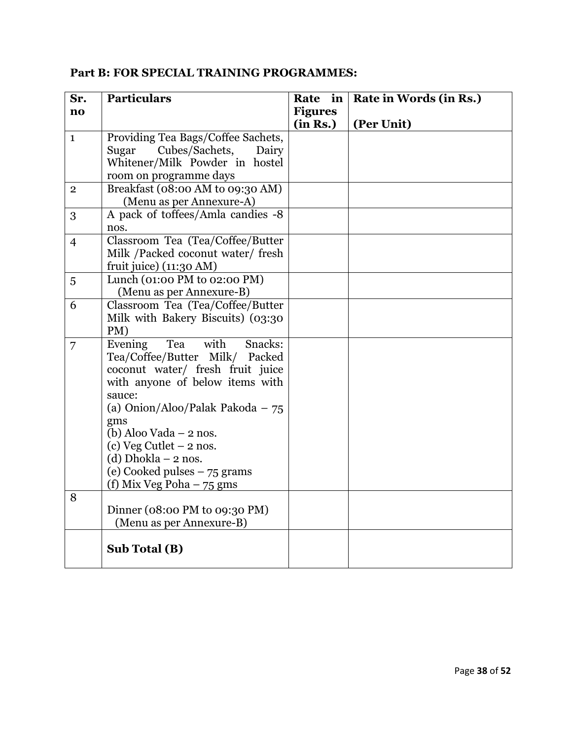|  | Part B: FOR SPECIAL TRAINING PROGRAMMES: |
|--|------------------------------------------|
|  |                                          |

| Sr.                    | <b>Particulars</b>                        | Rate in        | Rate in Words (in Rs.) |
|------------------------|-------------------------------------------|----------------|------------------------|
| $\mathbf{n}\mathbf{o}$ |                                           | <b>Figures</b> |                        |
|                        |                                           | (in Rs.)       | (Per Unit)             |
| $\mathbf 1$            | Providing Tea Bags/Coffee Sachets,        |                |                        |
|                        | Cubes/Sachets,<br>Sugar<br>Dairy          |                |                        |
|                        | Whitener/Milk Powder in hostel            |                |                        |
|                        | room on programme days                    |                |                        |
| $\overline{2}$         | Breakfast (08:00 AM to 09:30 AM)          |                |                        |
|                        | (Menu as per Annexure-A)                  |                |                        |
| 3                      | A pack of toffees/Amla candies -8         |                |                        |
|                        | nos.                                      |                |                        |
| $\overline{4}$         | Classroom Tea (Tea/Coffee/Butter          |                |                        |
|                        | Milk /Packed coconut water/ fresh         |                |                        |
|                        | fruit juice) (11:30 AM)                   |                |                        |
| 5                      | Lunch (01:00 PM to 02:00 PM)              |                |                        |
|                        | (Menu as per Annexure-B)                  |                |                        |
| 6                      | Classroom Tea (Tea/Coffee/Butter          |                |                        |
|                        | Milk with Bakery Biscuits) (03:30         |                |                        |
|                        | PM)<br>with<br>Tea<br>Snacks:             |                |                        |
| 7                      | Evening<br>Tea/Coffee/Butter Milk/ Packed |                |                        |
|                        | coconut water/ fresh fruit juice          |                |                        |
|                        | with anyone of below items with           |                |                        |
|                        | sauce:                                    |                |                        |
|                        | (a) Onion/Aloo/Palak Pakoda $-75$         |                |                        |
|                        | gms                                       |                |                        |
|                        | (b) Aloo Vada $-2$ nos.                   |                |                        |
|                        | (c) Veg Cutlet $-2$ nos.                  |                |                        |
|                        | (d) Dhokla $-2$ nos.                      |                |                        |
|                        | (e) Cooked pulses $-75$ grams             |                |                        |
|                        | (f) Mix Veg Poha $-75$ gms                |                |                        |
| 8                      |                                           |                |                        |
|                        | Dinner ( $08:00$ PM to $09:30$ PM)        |                |                        |
|                        | (Menu as per Annexure-B)                  |                |                        |
|                        |                                           |                |                        |
|                        | Sub Total (B)                             |                |                        |
|                        |                                           |                |                        |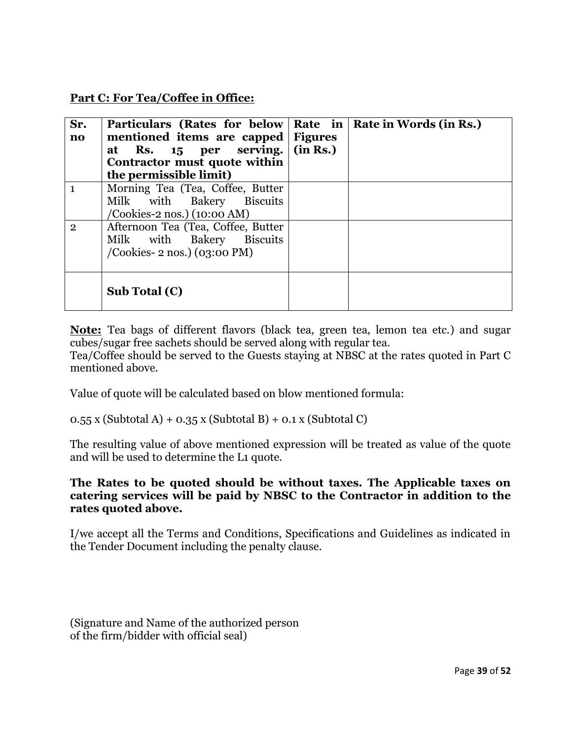**Part C: For Tea/Coffee in Office:**

| Sr.<br>$\mathbf{n}\mathbf{o}$ | Particulars (Rates for below Rate in<br>mentioned items are capped<br>at Rs. 15 per serving.<br>Contractor must quote within<br>the permissible limit) | <b>Figures</b><br>(in Rs.) | Rate in Words (in Rs.) |
|-------------------------------|--------------------------------------------------------------------------------------------------------------------------------------------------------|----------------------------|------------------------|
|                               | Morning Tea (Tea, Coffee, Butter<br>Milk with Bakery Biscuits<br>/Cookies-2 nos.) (10:00 AM)                                                           |                            |                        |
| $\overline{2}$                | Afternoon Tea (Tea, Coffee, Butter<br>Milk with Bakery<br><b>Biscuits</b><br>$/$ Cookies-2 nos. $)$ (03:00 PM)                                         |                            |                        |
|                               | Sub Total (C)                                                                                                                                          |                            |                        |

**Note:** Tea bags of different flavors (black tea, green tea, lemon tea etc.) and sugar cubes/sugar free sachets should be served along with regular tea.

Tea/Coffee should be served to the Guests staying at NBSC at the rates quoted in Part C mentioned above.

Value of quote will be calculated based on blow mentioned formula:

 $0.55$  x (Subtotal A) +  $0.35$  x (Subtotal B) +  $0.1$  x (Subtotal C)

The resulting value of above mentioned expression will be treated as value of the quote and will be used to determine the L1 quote.

#### **The Rates to be quoted should be without taxes. The Applicable taxes on catering services will be paid by NBSC to the Contractor in addition to the rates quoted above.**

I/we accept all the Terms and Conditions, Specifications and Guidelines as indicated in the Tender Document including the penalty clause.

```
(Signature and Name of the authorized person 
of the firm/bidder with official seal)
```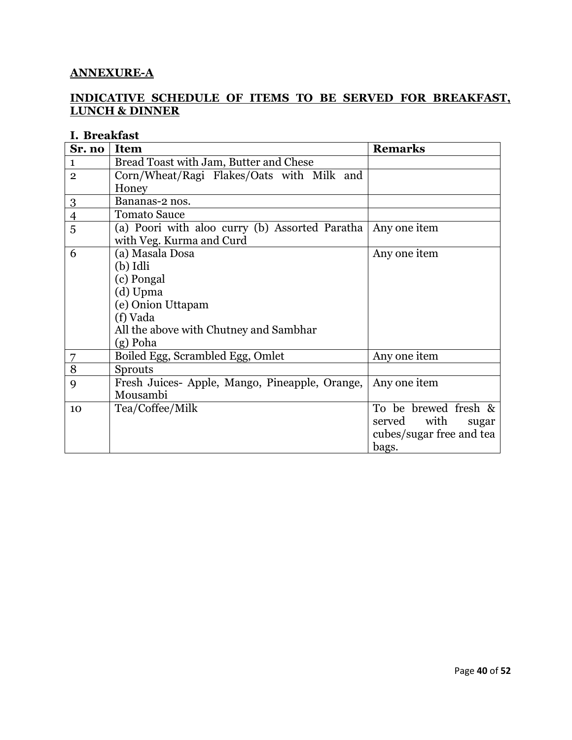#### **ANNEXURE-A**

#### **INDICATIVE SCHEDULE OF ITEMS TO BE SERVED FOR BREAKFAST, LUNCH & DINNER**

### **I. Breakfast**

| Sr. no         | <b>Item</b>                                                   | <b>Remarks</b>           |  |
|----------------|---------------------------------------------------------------|--------------------------|--|
| 1              | Bread Toast with Jam, Butter and Chese                        |                          |  |
| $\overline{2}$ | Corn/Wheat/Ragi Flakes/Oats with Milk and                     |                          |  |
|                | Honey                                                         |                          |  |
| 3              | Bananas-2 nos.                                                |                          |  |
| $\overline{4}$ | <b>Tomato Sauce</b>                                           |                          |  |
| 5              | (a) Poori with aloo curry (b) Assorted Paratha   Any one item |                          |  |
|                | with Veg. Kurma and Curd                                      |                          |  |
| 6              | (a) Masala Dosa                                               | Any one item             |  |
|                | (b) Idli                                                      |                          |  |
|                | (c) Pongal                                                    |                          |  |
|                | (d) Upma                                                      |                          |  |
|                | (e) Onion Uttapam                                             |                          |  |
|                | (f) Vada                                                      |                          |  |
|                | All the above with Chutney and Sambhar                        |                          |  |
|                | (g) Poha                                                      |                          |  |
|                | Boiled Egg, Scrambled Egg, Omlet                              | Any one item             |  |
| 8              | <b>Sprouts</b>                                                |                          |  |
| 9              | Fresh Juices-Apple, Mango, Pineapple, Orange,                 | Any one item             |  |
|                | Mousambi                                                      |                          |  |
| 10             | Tea/Coffee/Milk                                               | To be brewed fresh &     |  |
|                |                                                               | served with<br>sugar     |  |
|                |                                                               | cubes/sugar free and tea |  |
|                |                                                               | bags.                    |  |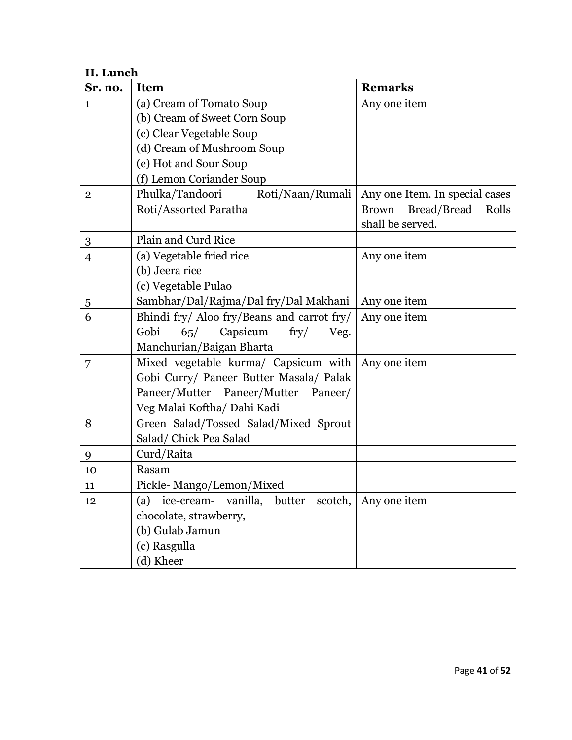### **II. Lunch**

| Sr. no.        | <b>Item</b>                                     | <b>Remarks</b>                 |  |
|----------------|-------------------------------------------------|--------------------------------|--|
| $\mathbf{1}$   | (a) Cream of Tomato Soup                        | Any one item                   |  |
|                | (b) Cream of Sweet Corn Soup                    |                                |  |
|                | (c) Clear Vegetable Soup                        |                                |  |
|                | (d) Cream of Mushroom Soup                      |                                |  |
|                | (e) Hot and Sour Soup                           |                                |  |
|                | (f) Lemon Coriander Soup                        |                                |  |
| $\mathbf{2}$   | Phulka/Tandoori<br>Roti/Naan/Rumali             | Any one Item. In special cases |  |
|                | Roti/Assorted Paratha                           | Bread/Bread<br>Brown<br>Rolls  |  |
|                |                                                 | shall be served.               |  |
| 3              | Plain and Curd Rice                             |                                |  |
| $\overline{4}$ | (a) Vegetable fried rice                        | Any one item                   |  |
|                | (b) Jeera rice                                  |                                |  |
|                | (c) Vegetable Pulao                             |                                |  |
| $\overline{5}$ | Sambhar/Dal/Rajma/Dal fry/Dal Makhani           | Any one item                   |  |
| 6              | Bhindi fry/ Aloo fry/Beans and carrot fry/      | Any one item                   |  |
|                | Capsicum<br>Gobi<br>$\p{fry}/$<br>65/<br>Veg.   |                                |  |
|                | Manchurian/Baigan Bharta                        |                                |  |
| 7              | Mixed vegetable kurma/ Capsicum with            | Any one item                   |  |
|                | Gobi Curry/ Paneer Butter Masala/ Palak         |                                |  |
|                | Paneer/Mutter Paneer/Mutter<br>Paneer/          |                                |  |
|                | Veg Malai Koftha/ Dahi Kadi                     |                                |  |
| 8              | Green Salad/Tossed Salad/Mixed Sprout           |                                |  |
|                | Salad/ Chick Pea Salad                          |                                |  |
| 9              | Curd/Raita                                      |                                |  |
| 10             | Rasam                                           |                                |  |
| 11             | Pickle-Mango/Lemon/Mixed                        |                                |  |
| 12             | ice-cream- vanilla,<br>butter<br>scotch,<br>(a) | Any one item                   |  |
|                | chocolate, strawberry,                          |                                |  |
|                | (b) Gulab Jamun                                 |                                |  |
|                | (c) Rasgulla                                    |                                |  |
|                | (d) Kheer                                       |                                |  |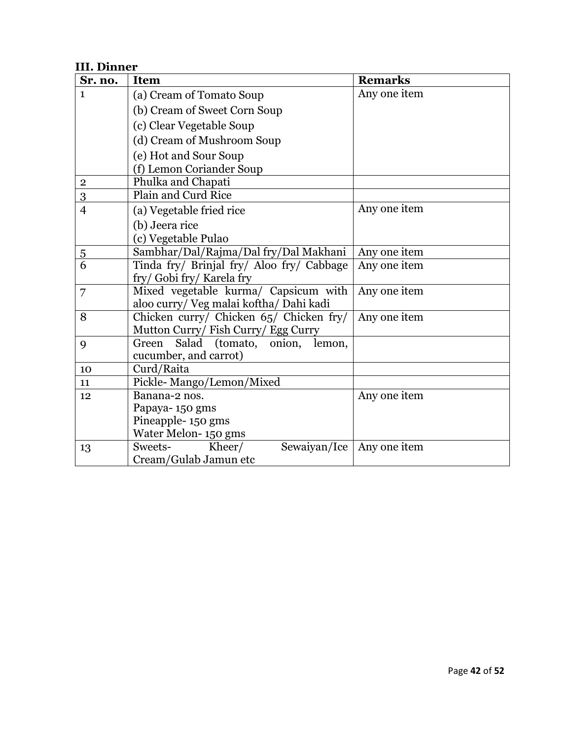### **III. Dinner**

| Sr. no.        | <b>Item</b>                               | <b>Remarks</b> |
|----------------|-------------------------------------------|----------------|
| $\mathbf{1}$   | (a) Cream of Tomato Soup                  | Any one item   |
|                | (b) Cream of Sweet Corn Soup              |                |
|                | (c) Clear Vegetable Soup                  |                |
|                | (d) Cream of Mushroom Soup                |                |
|                | (e) Hot and Sour Soup                     |                |
|                | (f) Lemon Coriander Soup                  |                |
| $\bf 2$        | Phulka and Chapati                        |                |
| $\overline{3}$ | Plain and Curd Rice                       |                |
| $\overline{4}$ | (a) Vegetable fried rice                  | Any one item   |
|                | (b) Jeera rice                            |                |
|                | (c) Vegetable Pulao                       |                |
| <u>5</u>       | Sambhar/Dal/Rajma/Dal fry/Dal Makhani     | Any one item   |
| 6              | Tinda fry/ Brinjal fry/ Aloo fry/ Cabbage | Any one item   |
|                | fry/ Gobi fry/ Karela fry                 |                |
| 7              | Mixed vegetable kurma/ Capsicum with      | Any one item   |
|                | aloo curry/ Veg malai koftha/ Dahi kadi   |                |
| 8              | Chicken curry/ Chicken 65/ Chicken fry/   | Any one item   |
|                | Mutton Curry/ Fish Curry/ Egg Curry       |                |
| 9              | Salad (tomato, onion, lemon,<br>Green     |                |
|                | cucumber, and carrot)                     |                |
| 10             | Curd/Raita                                |                |
| 11             | Pickle-Mango/Lemon/Mixed                  |                |
| 12             | Banana-2 nos.                             | Any one item   |
|                | Papaya-150 gms                            |                |
|                | Pineapple-150 gms                         |                |
|                | Water Melon-150 gms                       |                |
| 13             | Sweets-<br>Kheer/<br>Sewaiyan/Ice         | Any one item   |
|                | Cream/Gulab Jamun etc                     |                |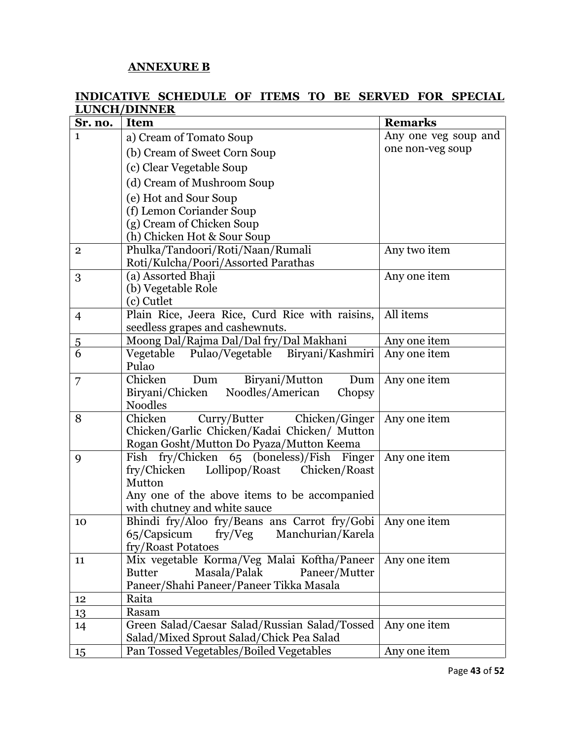#### **ANNEXURE B**

#### **INDICATIVE SCHEDULE OF ITEMS TO BE SERVED FOR SPECIAL LUNCH/DINNER**

| Sr. no.             | <b>Item</b>                                                                            | <b>Remarks</b>       |
|---------------------|----------------------------------------------------------------------------------------|----------------------|
| 1                   | a) Cream of Tomato Soup                                                                | Any one veg soup and |
|                     | (b) Cream of Sweet Corn Soup                                                           | one non-veg soup     |
|                     | (c) Clear Vegetable Soup                                                               |                      |
|                     | (d) Cream of Mushroom Soup                                                             |                      |
|                     | (e) Hot and Sour Soup                                                                  |                      |
|                     | (f) Lemon Coriander Soup                                                               |                      |
|                     | (g) Cream of Chicken Soup                                                              |                      |
|                     | (h) Chicken Hot & Sour Soup                                                            |                      |
| $\mathbf{2}$        | Phulka/Tandoori/Roti/Naan/Rumali                                                       | Any two item         |
|                     | Roti/Kulcha/Poori/Assorted Parathas                                                    |                      |
| 3                   | (a) Assorted Bhaji                                                                     | Any one item         |
|                     | (b) Vegetable Role                                                                     |                      |
|                     | (c) Cutlet                                                                             |                      |
| $\overline{4}$      | Plain Rice, Jeera Rice, Curd Rice with raisins,<br>seedless grapes and cashewnuts.     | All items            |
|                     | Moong Dal/Rajma Dal/Dal fry/Dal Makhani                                                | Any one item         |
| $\overline{5}$<br>6 | Vegetable Pulao/Vegetable Biryani/Kashmiri                                             | Any one item         |
|                     | Pulao                                                                                  |                      |
| 7                   | Chicken<br>Biryani/Mutton<br>Dum<br>Dum                                                | Any one item         |
|                     | Biryani/Chicken<br>Noodles/American<br>Chopsy                                          |                      |
|                     | <b>Noodles</b>                                                                         |                      |
| 8                   | Curry/Butter Chicken/Ginger<br>Chicken                                                 | Any one item         |
|                     | Chicken/Garlic Chicken/Kadai Chicken/ Mutton                                           |                      |
|                     | Rogan Gosht/Mutton Do Pyaza/Mutton Keema                                               |                      |
| 9                   | Fish fry/Chicken 65 (boneless)/Fish Finger<br>fry/Chicken Lollipop/Roast Chicken/Roast | Any one item         |
|                     | Mutton                                                                                 |                      |
|                     | Any one of the above items to be accompanied                                           |                      |
|                     | with chutney and white sauce                                                           |                      |
| 10                  | Bhindi fry/Aloo fry/Beans ans Carrot fry/Gobi                                          | Any one item         |
|                     | 65/Capsicum fry/Veg Manchurian/Karela                                                  |                      |
|                     | fry/Roast Potatoes                                                                     |                      |
| 11                  | Mix vegetable Korma/Veg Malai Koftha/Paneer                                            | Any one item         |
|                     | <b>Butter</b><br>Masala/Palak<br>Paneer/Mutter                                         |                      |
|                     | Paneer/Shahi Paneer/Paneer Tikka Masala                                                |                      |
| 12                  | Raita                                                                                  |                      |
| 13                  | Rasam<br>Green Salad/Caesar Salad/Russian Salad/Tossed                                 | Any one item         |
| 14                  | Salad/Mixed Sprout Salad/Chick Pea Salad                                               |                      |
| 15                  | Pan Tossed Vegetables/Boiled Vegetables                                                | Any one item         |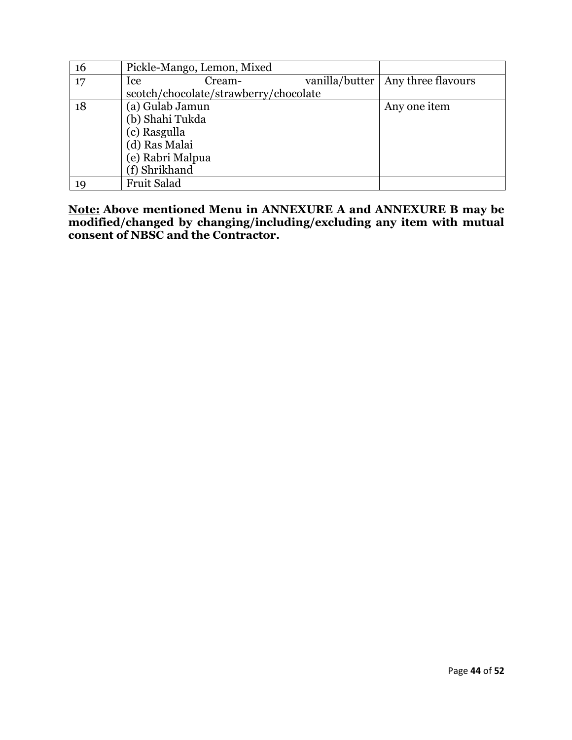| 16 | Pickle-Mango, Lemon, Mixed            |        |                                     |
|----|---------------------------------------|--------|-------------------------------------|
| 17 | Ice                                   | Cream- | vanilla/butter   Any three flavours |
|    | scotch/chocolate/strawberry/chocolate |        |                                     |
| 18 | (a) Gulab Jamun                       |        | Any one item                        |
|    | (b) Shahi Tukda                       |        |                                     |
|    | (c) Rasgulla                          |        |                                     |
|    | (d) Ras Malai                         |        |                                     |
|    | (e) Rabri Malpua                      |        |                                     |
|    | (f) Shrikhand                         |        |                                     |
| 19 | Fruit Salad                           |        |                                     |

**Note: Above mentioned Menu in ANNEXURE A and ANNEXURE B may be modified/changed by changing/including/excluding any item with mutual consent of NBSC and the Contractor.**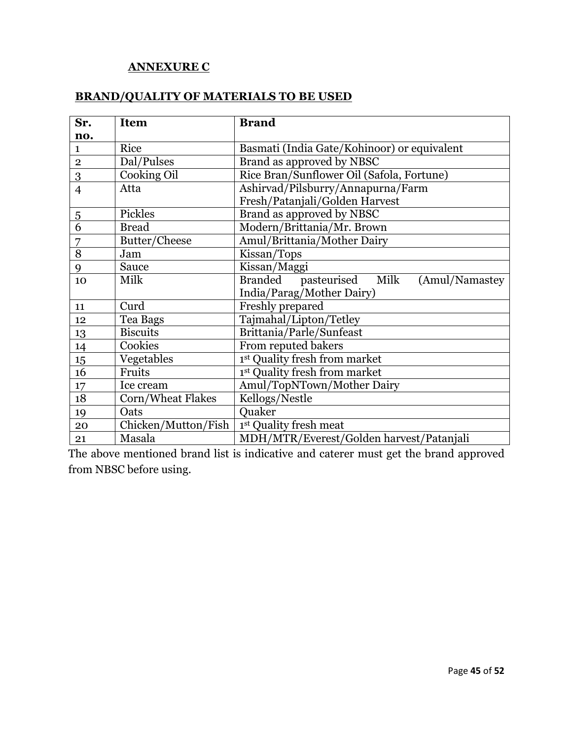### **ANNEXURE C**

### **BRAND/QUALITY OF MATERIALS TO BE USED**

| Sr.            | <b>Item</b>         | <b>Brand</b>                                   |  |
|----------------|---------------------|------------------------------------------------|--|
| no.            |                     |                                                |  |
| $\mathbf{1}$   | Rice                | Basmati (India Gate/Kohinoor) or equivalent    |  |
| $\mathbf 2$    | Dal/Pulses          | Brand as approved by NBSC                      |  |
| 3              | Cooking Oil         | Rice Bran/Sunflower Oil (Safola, Fortune)      |  |
| $\overline{4}$ | Atta                | Ashirvad/Pilsburry/Annapurna/Farm              |  |
|                |                     | Fresh/Patanjali/Golden Harvest                 |  |
| $\overline{5}$ | Pickles             | Brand as approved by NBSC                      |  |
| 6              | <b>Bread</b>        | Modern/Brittania/Mr. Brown                     |  |
| 7              | Butter/Cheese       | Amul/Brittania/Mother Dairy                    |  |
| 8              | Jam                 | Kissan/Tops                                    |  |
| 9              | Sauce               | Kissan/Maggi                                   |  |
| 10             | Milk                | pasteurised Milk<br>Branded<br>(Amul/Namastey) |  |
|                |                     | India/Parag/Mother Dairy)                      |  |
| 11             | Curd                | Freshly prepared                               |  |
| 12             | Tea Bags            | Tajmahal/Lipton/Tetley                         |  |
| 13             | <b>Biscuits</b>     | Brittania/Parle/Sunfeast                       |  |
| 14             | Cookies             | From reputed bakers                            |  |
| 15             | Vegetables          | 1st Quality fresh from market                  |  |
| 16             | Fruits              | 1st Quality fresh from market                  |  |
| 17             | Ice cream           | Amul/TopNTown/Mother Dairy                     |  |
| 18             | Corn/Wheat Flakes   | Kellogs/Nestle                                 |  |
| 19             | Oats                | Quaker                                         |  |
| 20             | Chicken/Mutton/Fish | 1st Quality fresh meat                         |  |
| 21             | Masala              | MDH/MTR/Everest/Golden harvest/Patanjali       |  |

The above mentioned brand list is indicative and caterer must get the brand approved from NBSC before using.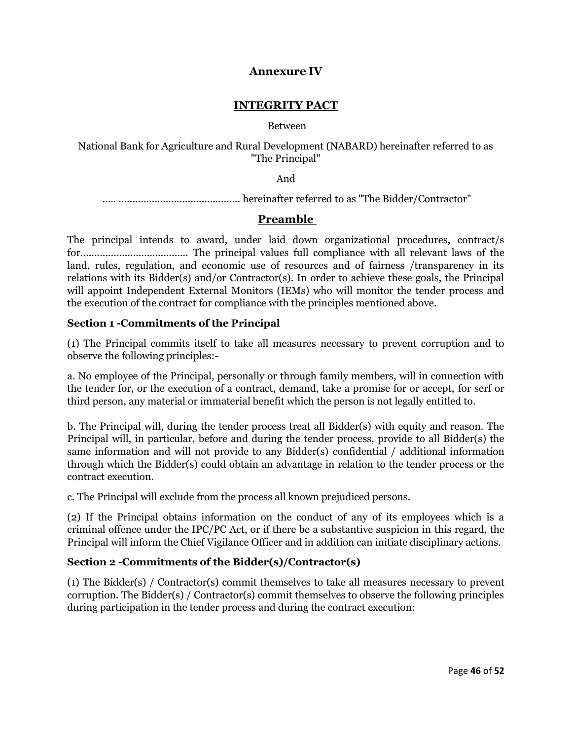#### **Annexure IV**

#### **INTEGRITY PACT**

#### Between

National Bank for Agriculture and Rural Development (NABARD) hereinafter referred to as "The Principal"

And

..... ............................................ hereinafter referred to as "The Bidder/Contractor"

#### **Preamble**

The principal intends to award, under laid down organizational procedures, contract/s for....................................... The principal values full compliance with all relevant laws of the land, rules, regulation, and economic use of resources and of fairness /transparency in its relations with its Bidder(s) and/or Contractor(s). In order to achieve these goals, the Principal will appoint Independent External Monitors (IEMs) who will monitor the tender process and the execution of the contract for compliance with the principles mentioned above.

#### **Section 1 -Commitments of the Principal**

(1) The Principal commits itself to take all measures necessary to prevent corruption and to observe the following principles:-

a. No employee of the Principal, personally or through family members, will in connection with the tender for, or the execution of a contract, demand, take a promise for or accept, for serf or third person, any material or immaterial benefit which the person is not legally entitled to.

b. The Principal will, during the tender process treat all Bidder(s) with equity and reason. The Principal will, in particular, before and during the tender process, provide to all Bidder(s) the same information and will not provide to any Bidder(s) confidential / additional information through which the Bidder(s) could obtain an advantage in relation to the tender process or the contract execution.

c. The Principal will exclude from the process all known prejudiced persons.

(2) If the Principal obtains information on the conduct of any of its employees which is a criminal offence under the IPC/PC Act, or if there be a substantive suspicion in this regard, the Principal will inform the Chief Vigilance Officer and in addition can initiate disciplinary actions.

#### **Section 2 -Commitments of the Bidder(s)/Contractor(s)**

(1) The Bidder(s) / Contractor(s) commit themselves to take all measures necessary to prevent corruption. The Bidder(s) / Contractor(s) commit themselves to observe the following principles during participation in the tender process and during the contract execution: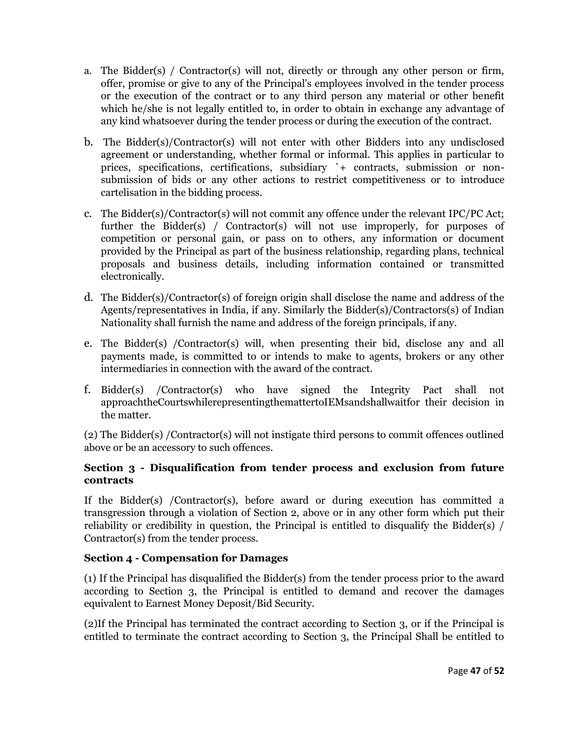- a. The Bidder(s) / Contractor(s) will not, directly or through any other person or firm, offer, promise or give to any of the Principal's employees involved in the tender process or the execution of the contract or to any third person any material or other benefit which he/she is not legally entitled to, in order to obtain in exchange any advantage of any kind whatsoever during the tender process or during the execution of the contract.
- b. The Bidder(s)/Contractor(s) will not enter with other Bidders into any undisclosed agreement or understanding, whether formal or informal. This applies in particular to prices, specifications, certifications, subsidiary `+ contracts, submission or nonsubmission of bids or any other actions to restrict competitiveness or to introduce cartelisation in the bidding process.
- c. The Bidder(s)/Contractor(s) will not commit any offence under the relevant IPC/PC Act; further the Bidder(s) / Contractor(s) will not use improperly, for purposes of competition or personal gain, or pass on to others, any information or document provided by the Principal as part of the business relationship, regarding plans, technical proposals and business details, including information contained or transmitted electronically.
- d. The Bidder(s)/Contractor(s) of foreign origin shall disclose the name and address of the Agents/representatives in India, if any. Similarly the Bidder(s)/Contractors(s) of Indian Nationality shall furnish the name and address of the foreign principals, if any.
- e. The Bidder(s) /Contractor(s) will, when presenting their bid, disclose any and all payments made, is committed to or intends to make to agents, brokers or any other intermediaries in connection with the award of the contract.
- f. Bidder(s) /Contractor(s) who have signed the Integrity Pact shall not approachtheCourtswhilerepresentingthemattertoIEMsandshallwaitfor their decision in the matter.

(2) The Bidder(s) /Contractor(s) will not instigate third persons to commit offences outlined above or be an accessory to such offences.

#### **Section 3 - Disqualification from tender process and exclusion from future contracts**

If the Bidder(s) /Contractor(s), before award or during execution has committed a transgression through a violation of Section 2, above or in any other form which put their reliability or credibility in question, the Principal is entitled to disqualify the Bidder(s) / Contractor(s) from the tender process.

#### **Section 4 - Compensation for Damages**

(1) If the Principal has disqualified the Bidder(s) from the tender process prior to the award according to Section 3, the Principal is entitled to demand and recover the damages equivalent to Earnest Money Deposit/Bid Security.

(2)If the Principal has terminated the contract according to Section 3, or if the Principal is entitled to terminate the contract according to Section 3, the Principal Shall be entitled to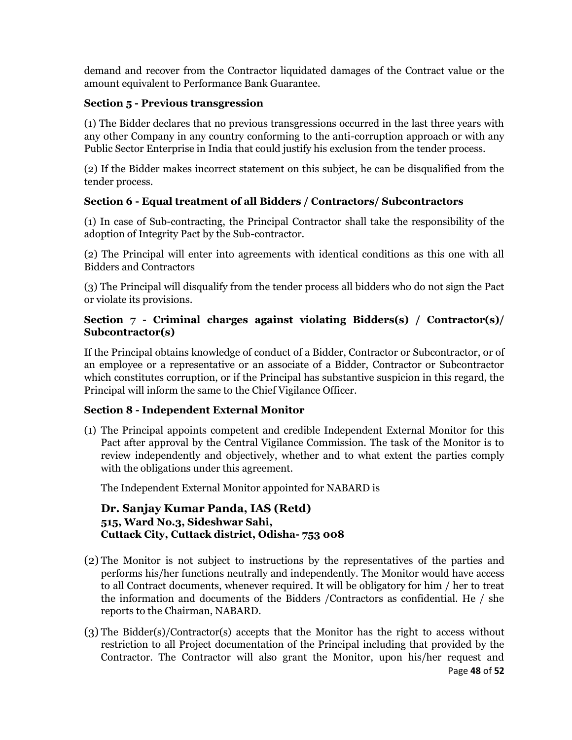demand and recover from the Contractor liquidated damages of the Contract value or the amount equivalent to Performance Bank Guarantee.

#### **Section 5 - Previous transgression**

(1) The Bidder declares that no previous transgressions occurred in the last three years with any other Company in any country conforming to the anti-corruption approach or with any Public Sector Enterprise in India that could justify his exclusion from the tender process.

(2) If the Bidder makes incorrect statement on this subject, he can be disqualified from the tender process.

#### **Section 6 - Equal treatment of all Bidders / Contractors/ Subcontractors**

(1) In case of Sub-contracting, the Principal Contractor shall take the responsibility of the adoption of Integrity Pact by the Sub-contractor.

(2) The Principal will enter into agreements with identical conditions as this one with all Bidders and Contractors

(3) The Principal will disqualify from the tender process all bidders who do not sign the Pact or violate its provisions.

#### **Section 7 - Criminal charges against violating Bidders(s) / Contractor(s)/ Subcontractor(s)**

If the Principal obtains knowledge of conduct of a Bidder, Contractor or Subcontractor, or of an employee or a representative or an associate of a Bidder, Contractor or Subcontractor which constitutes corruption, or if the Principal has substantive suspicion in this regard, the Principal will inform the same to the Chief Vigilance Officer.

#### **Section 8 - Independent External Monitor**

(1) The Principal appoints competent and credible Independent External Monitor for this Pact after approval by the Central Vigilance Commission. The task of the Monitor is to review independently and objectively, whether and to what extent the parties comply with the obligations under this agreement.

The Independent External Monitor appointed for NABARD is

#### **Dr. Sanjay Kumar Panda, IAS (Retd) 515, Ward No.3, Sideshwar Sahi, Cuttack City, Cuttack district, Odisha- 753 008**

- (2) The Monitor is not subject to instructions by the representatives of the parties and performs his/her functions neutrally and independently. The Monitor would have access to all Contract documents, whenever required. It will be obligatory for him / her to treat the information and documents of the Bidders /Contractors as confidential. He / she reports to the Chairman, NABARD.
- (3) The Bidder(s)/Contractor(s) accepts that the Monitor has the right to access without restriction to all Project documentation of the Principal including that provided by the Contractor. The Contractor will also grant the Monitor, upon his/her request and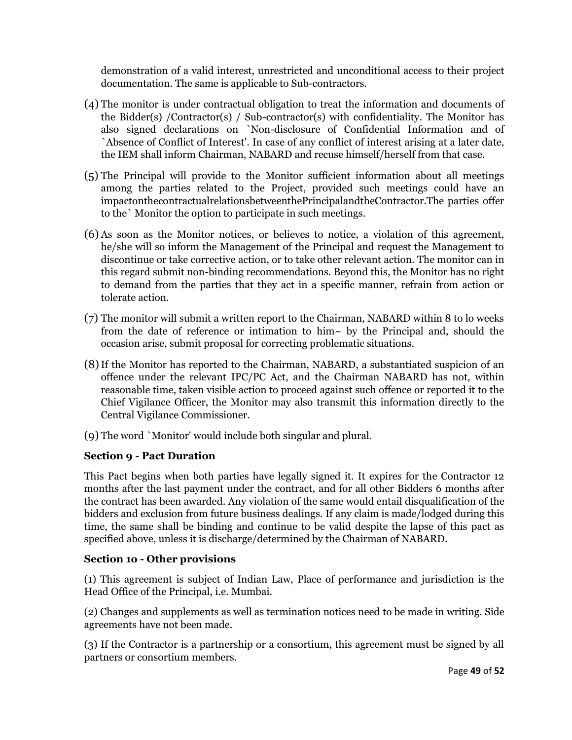demonstration of a valid interest, unrestricted and unconditional access to their project documentation. The same is applicable to Sub-contractors.

- (4) The monitor is under contractual obligation to treat the information and documents of the Bidder(s) /Contractor(s) / Sub-contractor(s) with confidentiality. The Monitor has also signed declarations on `Non-disclosure of Confidential Information and of `Absence of Conflict of Interest'. In case of any conflict of interest arising at a later date, the IEM shall inform Chairman, NABARD and recuse himself/herself from that case.
- (5) The Principal will provide to the Monitor sufficient information about all meetings among the parties related to the Project, provided such meetings could have an impactonthecontractualrelationsbetweenthePrincipalandtheContractor.The parties offer to the` Monitor the option to participate in such meetings.
- (6) As soon as the Monitor notices, or believes to notice, a violation of this agreement, he/she will so inform the Management of the Principal and request the Management to discontinue or take corrective action, or to take other relevant action. The monitor can in this regard submit non-binding recommendations. Beyond this, the Monitor has no right to demand from the parties that they act in a specific manner, refrain from action or tolerate action.
- (7) The monitor will submit a written report to the Chairman, NABARD within 8 to lo weeks from the date of reference or intimation to him $\sim$  by the Principal and, should the occasion arise, submit proposal for correcting problematic situations.
- (8)If the Monitor has reported to the Chairman, NABARD, a substantiated suspicion of an offence under the relevant IPC/PC Act, and the Chairman NABARD has not, within reasonable time, taken visible action to proceed against such offence or reported it to the Chief Vigilance Officer, the Monitor may also transmit this information directly to the Central Vigilance Commissioner.
- (9) The word `Monitor' would include both singular and plural.

#### **Section 9 - Pact Duration**

This Pact begins when both parties have legally signed it. It expires for the Contractor 12 months after the last payment under the contract, and for all other Bidders 6 months after the contract has been awarded. Any violation of the same would entail disqualification of the bidders and exclusion from future business dealings. If any claim is made/lodged during this time, the same shall be binding and continue to be valid despite the lapse of this pact as specified above, unless it is discharge/determined by the Chairman of NABARD.

#### **Section 1o - Other provisions**

(1) This agreement is subject of Indian Law, Place of performance and jurisdiction is the Head Office of the Principal, i.e. Mumbai.

(2) Changes and supplements as well as termination notices need to be made in writing. Side agreements have not been made.

(3) If the Contractor is a partnership or a consortium, this agreement must be signed by all partners or consortium members.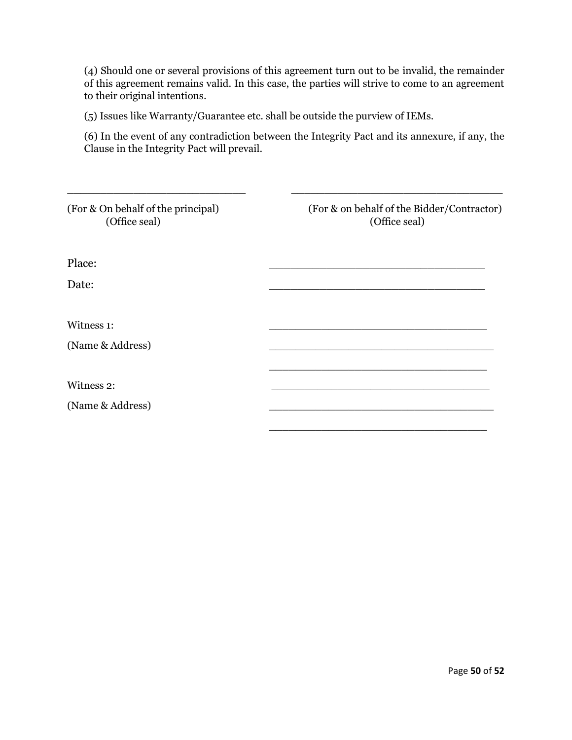(4) Should one or several provisions of this agreement turn out to be invalid, the remainder of this agreement remains valid. In this case, the parties will strive to come to an agreement to their original intentions.

(5) Issues like Warranty/Guarantee etc. shall be outside the purview of IEMs.

(6) In the event of any contradiction between the Integrity Pact and its annexure, if any, the Clause in the Integrity Pact will prevail.

| (For & On behalf of the principal)<br>(Office seal) | (For & on behalf of the Bidder/Contractor)<br>(Office seal) |
|-----------------------------------------------------|-------------------------------------------------------------|
| Place:                                              |                                                             |
| Date:                                               |                                                             |
| Witness 1:                                          |                                                             |
| (Name & Address)                                    |                                                             |
| Witness 2:                                          |                                                             |
| (Name & Address)                                    |                                                             |
|                                                     |                                                             |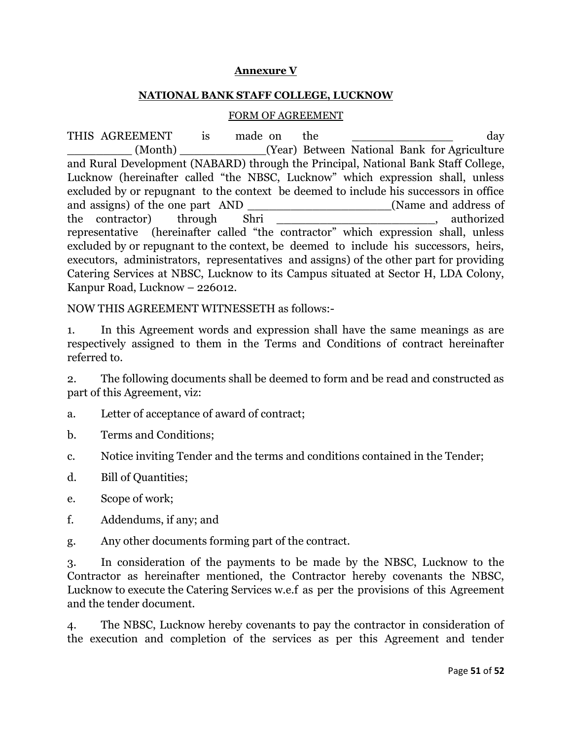#### **Annexure V**

#### **NATIONAL BANK STAFF COLLEGE, LUCKNOW**

#### FORM OF AGREEMENT

THIS AGREEMENT is made on the the control of the day (Month) (Year) Between National Bank for Agriculture and Rural Development (NABARD) through the Principal, National Bank Staff College, Lucknow (hereinafter called "the NBSC, Lucknow" which expression shall, unless excluded by or repugnant to the context be deemed to include his successors in office and assigns) of the one part AND \_\_\_\_\_\_\_\_\_\_\_\_\_\_\_\_\_\_\_(Name and address of the contractor) through Shri 2008 the contractor through Shri 300 through  $\sim$  100 through  $\sim$  50 through  $\sim$  50 through  $\sim$  50 through  $\sim$  50 through  $\sim$  50 through  $\sim$  50 through  $\sim$  50 through  $\sim$  50 through  $\sim$ representative (hereinafter called "the contractor" which expression shall, unless excluded by or repugnant to the context, be deemed to include his successors, heirs, executors, administrators, representatives and assigns) of the other part for providing Catering Services at NBSC, Lucknow to its Campus situated at Sector H, LDA Colony, Kanpur Road, Lucknow – 226012.

NOW THIS AGREEMENT WITNESSETH as follows:-

1. In this Agreement words and expression shall have the same meanings as are respectively assigned to them in the Terms and Conditions of contract hereinafter referred to.

2. The following documents shall be deemed to form and be read and constructed as part of this Agreement, viz:

a. Letter of acceptance of award of contract;

- b. Terms and Conditions;
- c. Notice inviting Tender and the terms and conditions contained in the Tender;
- d. Bill of Quantities;
- e. Scope of work;
- f. Addendums, if any; and
- g. Any other documents forming part of the contract.

3. In consideration of the payments to be made by the NBSC, Lucknow to the Contractor as hereinafter mentioned, the Contractor hereby covenants the NBSC, Lucknow to execute the Catering Services w.e.f as per the provisions of this Agreement and the tender document.

4. The NBSC, Lucknow hereby covenants to pay the contractor in consideration of the execution and completion of the services as per this Agreement and tender